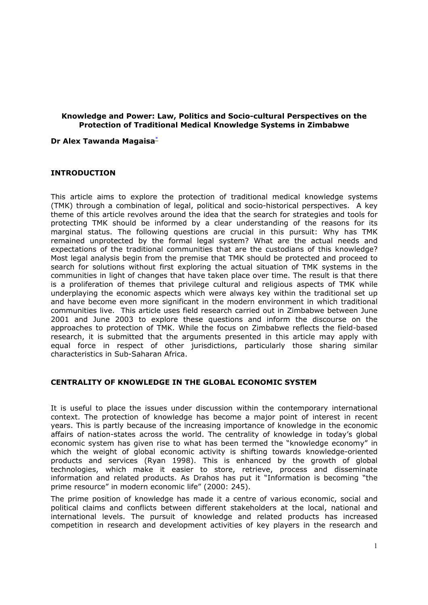### **Knowledge and Power: Law, Politics and Socio-cultural Perspectives on the Protection of Traditional Medical Knowledge Systems in Zimbabwe**

#### **Dr Alex Tawanda Magaisa**[\\*](http://gwmail2.nottingham.ac.uk/servlet/webacc/hobktbUc8lhdpidEqc/GWAP/AREF/)

### **INTRODUCTION**

This article aims to explore the protection of traditional medical knowledge systems (TMK) through a combination of legal, political and socio-historical perspectives. A key theme of this article revolves around the idea that the search for strategies and tools for protecting TMK should be informed by a clear understanding of the reasons for its marginal status. The following questions are crucial in this pursuit: Why has TMK remained unprotected by the formal legal system? What are the actual needs and expectations of the traditional communities that are the custodians of this knowledge? Most legal analysis begin from the premise that TMK should be protected and proceed to search for solutions without first exploring the actual situation of TMK systems in the communities in light of changes that have taken place over time. The result is that there is a proliferation of themes that privilege cultural and religious aspects of TMK while underplaying the economic aspects which were always key within the traditional set up and have become even more significant in the modern environment in which traditional communities live. This article uses field research carried out in Zimbabwe between June 2001 and June 2003 to explore these questions and inform the discourse on the approaches to protection of TMK. While the focus on Zimbabwe reflects the field-based research, it is submitted that the arguments presented in this article may apply with equal force in respect of other jurisdictions, particularly those sharing similar characteristics in Sub-Saharan Africa.

### **CENTRALITY OF KNOWLEDGE IN THE GLOBAL ECONOMIC SYSTEM**

It is useful to place the issues under discussion within the contemporary international context. The protection of knowledge has become a major point of interest in recent years. This is partly because of the increasing importance of knowledge in the economic affairs of nation-states across the world. The centrality of knowledge in today's global economic system has given rise to what has been termed the "knowledge economy" in which the weight of global economic activity is shifting towards knowledge-oriented products and services (Ryan 1998). This is enhanced by the growth of global technologies, which make it easier to store, retrieve, process and disseminate information and related products. As Drahos has put it "Information is becoming "the prime resource" in modern economic life" (2000: 245).

The prime position of knowledge has made it a centre of various economic, social and political claims and conflicts between different stakeholders at the local, national and international levels. The pursuit of knowledge and related products has increased competition in research and development activities of key players in the research and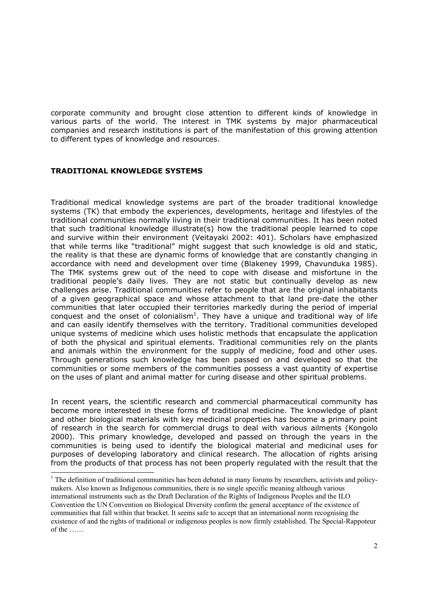corporate community and brought close attention to different kinds of knowledge in various parts of the world. The interest in TMK systems by major pharmaceutical companies and research institutions is part of the manifestation of this growing attention to different types of knowledge and resources.

## **TRADITIONAL KNOWLEDGE SYSTEMS**

Traditional medical knowledge systems are part of the broader traditional knowledge systems (TK) that embody the experiences, developments, heritage and lifestyles of the traditional communities normally living in their traditional communities. It has been noted that such traditional knowledge illustrate(s) how the traditional people learned to cope and survive within their environment (Veitayaki 2002: 401). Scholars have emphasized that while terms like "traditional" might suggest that such knowledge is old and static, the reality is that these are dynamic forms of knowledge that are constantly changing in accordance with need and development over time (Blakeney 1999, Chavunduka 1985). The TMK systems grew out of the need to cope with disease and misfortune in the traditional people's daily lives. They are not static but continually develop as new challenges arise. Traditional communities refer to people that are the original inhabitants of a given geographical space and whose attachment to that land pre-date the other communities that later occupied their territories markedly during the period of imperial conquest and the onset of colonialism<sup>1</sup>. They have a unique and traditional way of life and can easily identify themselves with the territory. Traditional communities developed unique systems of medicine which uses holistic methods that encapsulate the application of both the physical and spiritual elements. Traditional communities rely on the plants and animals within the environment for the supply of medicine, food and other uses. Through generations such knowledge has been passed on and developed so that the communities or some members of the communities possess a vast quantity of expertise on the uses of plant and animal matter for curing disease and other spiritual problems.

In recent years, the scientific research and commercial pharmaceutical community has become more interested in these forms of traditional medicine. The knowledge of plant and other biological materials with key medicinal properties has become a primary point of research in the search for commercial drugs to deal with various ailments (Kongolo 2000). This primary knowledge, developed and passed on through the years in the communities is being used to identify the biological material and medicinal uses for purposes of developing laboratory and clinical research. The allocation of rights arising from the products of that process has not been properly regulated with the result that the

<span id="page-1-0"></span> <sup>1</sup>  $1$ . The definition of traditional communities has been debated in many forums by researchers, activists and policymakers. Also known as Indigenous communities, there is no single specific meaning although various international instruments such as the Draft Declaration of the Rights of Indigenous Peoples and the ILO Convention the UN Convention on Biological Diversity confirm the general acceptance of the existence of communities that fall within that bracket. It seems safe to accept that an international norm recognising the existence of and the rights of traditional or indigenous peoples is now firmly established. The Special-Rappoteur of the ……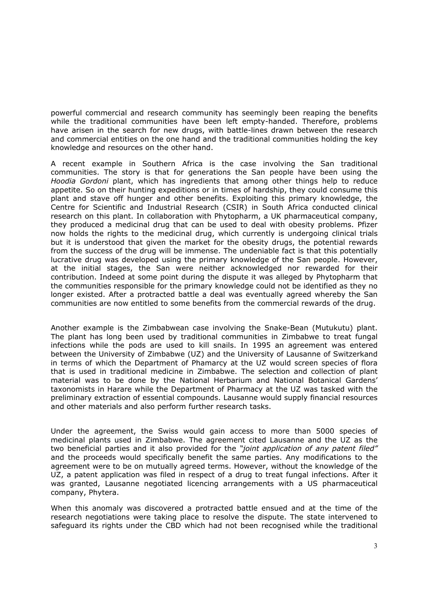powerful commercial and research community has seemingly been reaping the benefits while the traditional communities have been left empty-handed. Therefore, problems have arisen in the search for new drugs, with battle-lines drawn between the research and commercial entities on the one hand and the traditional communities holding the key knowledge and resources on the other hand.

A recent example in Southern Africa is the case involving the San traditional communities. The story is that for generations the San people have been using the *Hoodia Gordoni* plant, which has ingredients that among other things help to reduce appetite. So on their hunting expeditions or in times of hardship, they could consume this plant and stave off hunger and other benefits. Exploiting this primary knowledge, the Centre for Scientific and Industrial Research (CSIR) in South Africa conducted clinical research on this plant. In collaboration with Phytopharm, a UK pharmaceutical company, they produced a medicinal drug that can be used to deal with obesity problems. Pfizer now holds the rights to the medicinal drug, which currently is undergoing clinical trials but it is understood that given the market for the obesity drugs, the potential rewards from the success of the drug will be immense. The undeniable fact is that this potentially lucrative drug was developed using the primary knowledge of the San people. However, at the initial stages, the San were neither acknowledged nor rewarded for their contribution. Indeed at some point during the dispute it was alleged by Phytopharm that the communities responsible for the primary knowledge could not be identified as they no longer existed. After a protracted battle a deal was eventually agreed whereby the San communities are now entitled to some benefits from the commercial rewards of the drug.

Another example is the Zimbabwean case involving the Snake-Bean (Mutukutu) plant. The plant has long been used by traditional communities in Zimbabwe to treat fungal infections while the pods are used to kill snails. In 1995 an agreement was entered between the University of Zimbabwe (UZ) and the University of Lausanne of Switzerkand in terms of which the Department of Phamarcy at the UZ would screen species of flora that is used in traditional medicine in Zimbabwe. The selection and collection of plant material was to be done by the National Herbarium and National Botanical Gardens' taxonomists in Harare while the Department of Pharmacy at the UZ was tasked with the preliminary extraction of essential compounds. Lausanne would supply financial resources and other materials and also perform further research tasks.

Under the agreement, the Swiss would gain access to more than 5000 species of medicinal plants used in Zimbabwe. The agreement cited Lausanne and the UZ as the two beneficial parties and it also provided for the *"joint application of any patent filed"* and the proceeds would specifically benefit the same parties. Any modifications to the agreement were to be on mutually agreed terms. However, without the knowledge of the UZ, a patent application was filed in respect of a drug to treat fungal infections. After it was granted, Lausanne negotiated licencing arrangements with a US pharmaceutical company, Phytera.

When this anomaly was discovered a protracted battle ensued and at the time of the research negotiations were taking place to resolve the dispute. The state intervened to safeguard its rights under the CBD which had not been recognised while the traditional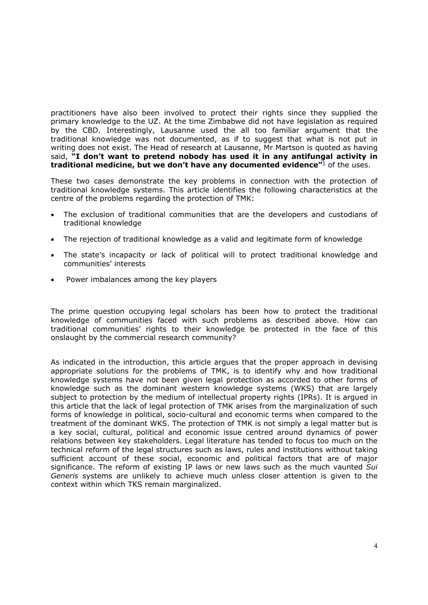practitioners have also been involved to protect their rights since they supplied the primary knowledge to the UZ. At the time Zimbabwe did not have legislation as required by the CBD. Interestingly, Lausanne used the all too familiar argument that the traditional knowledge was not documented, as if to suggest that what is not put in writing does not exist. The Head of research at Lausanne, Mr Martson is quoted as having said, **"I don't want to pretend nobody has used it in any antifungal activity in traditional medicine, but we don't have any documented evidence"<sup>[1](http://gwmail2.nottingham.ac.uk/servlet/webacc/hobktbUc8lhdpidEqc/GWAP/AREF/)</sup> of the uses.** 

These two cases demonstrate the key problems in connection with the protection of traditional knowledge systems. This article identifies the following characteristics at the centre of the problems regarding the protection of TMK:

- The exclusion of traditional communities that are the developers and custodians of traditional knowledge
- The rejection of traditional knowledge as a valid and legitimate form of knowledge
- The state's incapacity or lack of political will to protect traditional knowledge and communities' interests
- Power imbalances among the key players

The prime question occupying legal scholars has been how to protect the traditional knowledge of communities faced with such problems as described above. How can traditional communities' rights to their knowledge be protected in the face of this onslaught by the commercial research community?

As indicated in the introduction, this article argues that the proper approach in devising appropriate solutions for the problems of TMK, is to identify why and how traditional knowledge systems have not been given legal protection as accorded to other forms of knowledge such as the dominant western knowledge systems (WKS) that are largely subject to protection by the medium of intellectual property rights (IPRs). It is argued in this article that the lack of legal protection of TMK arises from the marginalization of such forms of knowledge in political, socio-cultural and economic terms when compared to the treatment of the dominant WKS. The protection of TMK is not simply a legal matter but is a key social, cultural, political and economic issue centred around dynamics of power relations between key stakeholders. Legal literature has tended to focus too much on the technical reform of the legal structures such as laws, rules and institutions without taking sufficient account of these social, economic and political factors that are of major significance. The reform of existing IP laws or new laws such as the much vaunted *Sui Generis* systems are unlikely to achieve much unless closer attention is given to the context within which TKS remain marginalized.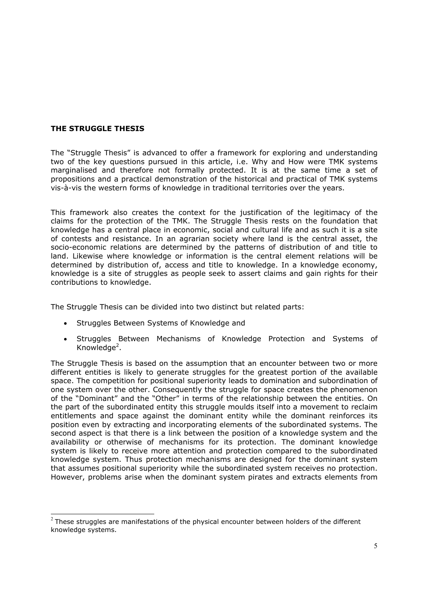# **THE STRUGGLE THESIS**

The "Struggle Thesis" is advanced to offer a framework for exploring and understanding two of the key questions pursued in this article, i.e. Why and How were TMK systems marginalised and therefore not formally protected. It is at the same time a set of propositions and a practical demonstration of the historical and practical of TMK systems vis-à-vis the western forms of knowledge in traditional territories over the years.

This framework also creates the context for the justification of the legitimacy of the claims for the protection of the TMK. The Struggle Thesis rests on the foundation that knowledge has a central place in economic, social and cultural life and as such it is a site of contests and resistance. In an agrarian society where land is the central asset, the socio-economic relations are determined by the patterns of distribution of and title to land. Likewise where knowledge or information is the central element relations will be determined by distribution of, access and title to knowledge. In a knowledge economy, knowledge is a site of struggles as people seek to assert claims and gain rights for their contributions to knowledge.

The Struggle Thesis can be divided into two distinct but related parts:

- Struggles Between Systems of Knowledge and
- Struggles Between Mechanisms of Knowledge Protection and Systems of Knowledge<sup>2</sup>.

The Struggle Thesis is based on the assumption that an encounter between two or more different entities is likely to generate struggles for the greatest portion of the available space. The competition for positional superiority leads to domination and subordination of one system over the other. Consequently the struggle for space creates the phenomenon of the "Dominant" and the "Other" in terms of the relationship between the entities. On the part of the subordinated entity this struggle moulds itself into a movement to reclaim entitlements and space against the dominant entity while the dominant reinforces its position even by extracting and incorporating elements of the subordinated systems. The second aspect is that there is a link between the position of a knowledge system and the availability or otherwise of mechanisms for its protection. The dominant knowledge system is likely to receive more attention and protection compared to the subordinated knowledge system. Thus protection mechanisms are designed for the dominant system that assumes positional superiority while the subordinated system receives no protection. However, problems arise when the dominant system pirates and extracts elements from

<span id="page-4-0"></span> $2$  These struggles are manifestations of the physical encounter between holders of the different knowledge systems.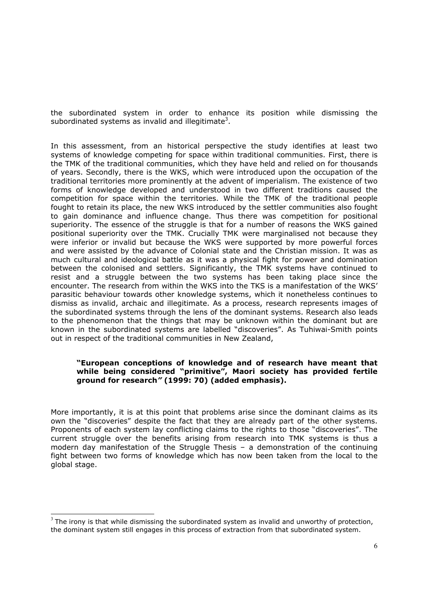the subordinated system in order to enhance its position while dismissing the subordinated systems as invalid and illegitimate<sup>[3](#page-5-0)</sup>.

In this assessment, from an historical perspective the study identifies at least two systems of knowledge competing for space within traditional communities. First, there is the TMK of the traditional communities, which they have held and relied on for thousands of years. Secondly, there is the WKS, which were introduced upon the occupation of the traditional territories more prominently at the advent of imperialism. The existence of two forms of knowledge developed and understood in two different traditions caused the competition for space within the territories. While the TMK of the traditional people fought to retain its place, the new WKS introduced by the settler communities also fought to gain dominance and influence change. Thus there was competition for positional superiority. The essence of the struggle is that for a number of reasons the WKS gained positional superiority over the TMK. Crucially TMK were marginalised not because they were inferior or invalid but because the WKS were supported by more powerful forces and were assisted by the advance of Colonial state and the Christian mission. It was as much cultural and ideological battle as it was a physical fight for power and domination between the colonised and settlers. Significantly, the TMK systems have continued to resist and a struggle between the two systems has been taking place since the encounter. The research from within the WKS into the TKS is a manifestation of the WKS' parasitic behaviour towards other knowledge systems, which it nonetheless continues to dismiss as invalid, archaic and illegitimate. As a process, research represents images of the subordinated systems through the lens of the dominant systems. Research also leads to the phenomenon that the things that may be unknown within the dominant but are known in the subordinated systems are labelled "discoveries". As Tuhiwai-Smith points out in respect of the traditional communities in New Zealand,

### **"European conceptions of knowledge and of research have meant that while being considered "primitive", Maori society has provided fertile ground for research***"* **(1999: 70) (added emphasis).**

More importantly, it is at this point that problems arise since the dominant claims as its own the "discoveries" despite the fact that they are already part of the other systems. Proponents of each system lay conflicting claims to the rights to those "discoveries". The current struggle over the benefits arising from research into TMK systems is thus a modern day manifestation of the Struggle Thesis – a demonstration of the continuing fight between two forms of knowledge which has now been taken from the local to the global stage.

<span id="page-5-0"></span> $3$  The irony is that while dismissing the subordinated system as invalid and unworthy of protection, the dominant system still engages in this process of extraction from that subordinated system.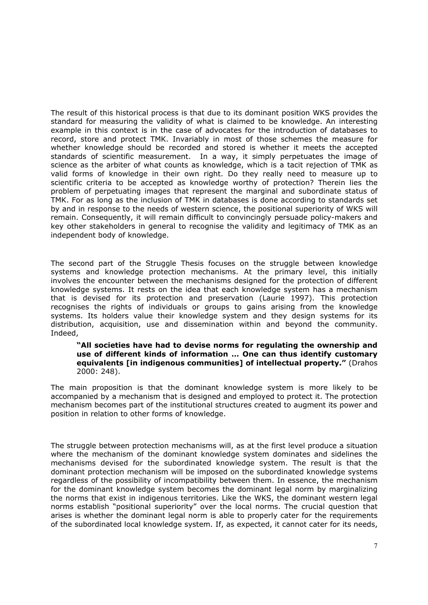The result of this historical process is that due to its dominant position WKS provides the standard for measuring the validity of what is claimed to be knowledge. An interesting example in this context is in the case of advocates for the introduction of databases to record, store and protect TMK. Invariably in most of those schemes the measure for whether knowledge should be recorded and stored is whether it meets the accepted standards of scientific measurement. In a way, it simply perpetuates the image of science as the arbiter of what counts as knowledge, which is a tacit rejection of TMK as valid forms of knowledge in their own right. Do they really need to measure up to scientific criteria to be accepted as knowledge worthy of protection? Therein lies the problem of perpetuating images that represent the marginal and subordinate status of TMK. For as long as the inclusion of TMK in databases is done according to standards set by and in response to the needs of western science, the positional superiority of WKS will remain. Consequently, it will remain difficult to convincingly persuade policy-makers and key other stakeholders in general to recognise the validity and legitimacy of TMK as an independent body of knowledge.

The second part of the Struggle Thesis focuses on the struggle between knowledge systems and knowledge protection mechanisms. At the primary level, this initially involves the encounter between the mechanisms designed for the protection of different knowledge systems. It rests on the idea that each knowledge system has a mechanism that is devised for its protection and preservation (Laurie 1997). This protection recognises the rights of individuals or groups to gains arising from the knowledge systems. Its holders value their knowledge system and they design systems for its distribution, acquisition, use and dissemination within and beyond the community. Indeed,

#### **"All societies have had to devise norms for regulating the ownership and use of different kinds of information … One can thus identify customary equivalents [in indigenous communities] of intellectual property."** (Drahos 2000: 248).

The main proposition is that the dominant knowledge system is more likely to be accompanied by a mechanism that is designed and employed to protect it. The protection mechanism becomes part of the institutional structures created to augment its power and position in relation to other forms of knowledge.

The struggle between protection mechanisms will, as at the first level produce a situation where the mechanism of the dominant knowledge system dominates and sidelines the mechanisms devised for the subordinated knowledge system. The result is that the dominant protection mechanism will be imposed on the subordinated knowledge systems regardless of the possibility of incompatibility between them. In essence, the mechanism for the dominant knowledge system becomes the dominant legal norm by marginalizing the norms that exist in indigenous territories. Like the WKS, the dominant western legal norms establish "positional superiority" over the local norms. The crucial question that arises is whether the dominant legal norm is able to properly cater for the requirements of the subordinated local knowledge system. If, as expected, it cannot cater for its needs,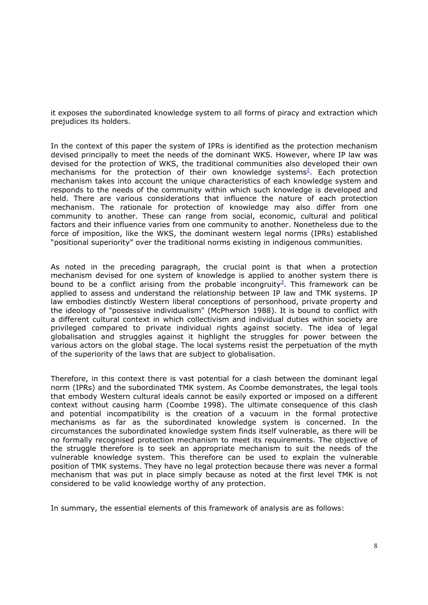it exposes the subordinated knowledge system to all forms of piracy and extraction which prejudices its holders.

In the context of this paper the system of IPRs is identified as the protection mechanism devised principally to meet the needs of the dominant WKS. However, where IP law was devised for the protection of WKS, the traditional communities also developed their own mechanisms for the protection of their own knowledge systems<sup>2</sup>. Each protection mechanism takes into account the unique characteristics of each knowledge system and responds to the needs of the community within which such knowledge is developed and held. There are various considerations that influence the nature of each protection mechanism. The rationale for protection of knowledge may also differ from one community to another. These can range from social, economic, cultural and political factors and their influence varies from one community to another. Nonetheless due to the force of imposition, like the WKS, the dominant western legal norms (IPRs) established "positional superiority" over the traditional norms existing in indigenous communities.

As noted in the preceding paragraph, the crucial point is that when a protection mechanism devised for one system of knowledge is applied to another system there is bound to be a conflict arising from the probable incongruity<sup>3</sup>. This framework can be applied to assess and understand the relationship between IP law and TMK systems. IP law embodies distinctly Western liberal conceptions of personhood, private property and the ideology of "possessive individualism" (McPherson 1988). It is bound to conflict with a different cultural context in which collectivism and individual duties within society are privileged compared to private individual rights against society. The idea of legal globalisation and struggles against it highlight the struggles for power between the various actors on the global stage. The local systems resist the perpetuation of the myth of the superiority of the laws that are subject to globalisation.

Therefore, in this context there is vast potential for a clash between the dominant legal norm (IPRs) and the subordinated TMK system. As Coombe demonstrates, the legal tools that embody Western cultural ideals cannot be easily exported or imposed on a different context without causing harm (Coombe 1998). The ultimate consequence of this clash and potential incompatibility is the creation of a vacuum in the formal protective mechanisms as far as the subordinated knowledge system is concerned. In the circumstances the subordinated knowledge system finds itself vulnerable, as there will be no formally recognised protection mechanism to meet its requirements. The objective of the struggle therefore is to seek an appropriate mechanism to suit the needs of the vulnerable knowledge system. This therefore can be used to explain the vulnerable position of TMK systems. They have no legal protection because there was never a formal mechanism that was put in place simply because as noted at the first level TMK is not considered to be valid knowledge worthy of any protection.

In summary, the essential elements of this framework of analysis are as follows: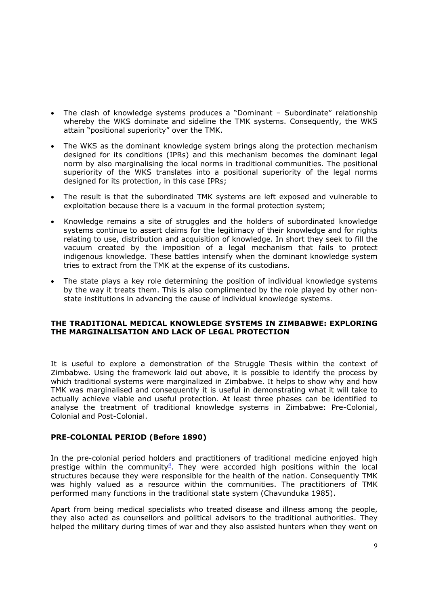- The clash of knowledge systems produces a "Dominant Subordinate" relationship whereby the WKS dominate and sideline the TMK systems. Consequently, the WKS attain "positional superiority" over the TMK.
- The WKS as the dominant knowledge system brings along the protection mechanism designed for its conditions (IPRs) and this mechanism becomes the dominant legal norm by also marginalising the local norms in traditional communities. The positional superiority of the WKS translates into a positional superiority of the legal norms designed for its protection, in this case IPRs;
- The result is that the subordinated TMK systems are left exposed and vulnerable to exploitation because there is a vacuum in the formal protection system;
- Knowledge remains a site of struggles and the holders of subordinated knowledge systems continue to assert claims for the legitimacy of their knowledge and for rights relating to use, distribution and acquisition of knowledge. In short they seek to fill the vacuum created by the imposition of a legal mechanism that fails to protect indigenous knowledge. These battles intensify when the dominant knowledge system tries to extract from the TMK at the expense of its custodians.
- The state plays a key role determining the position of individual knowledge systems by the way it treats them. This is also complimented by the role played by other nonstate institutions in advancing the cause of individual knowledge systems.

## **THE TRADITIONAL MEDICAL KNOWLEDGE SYSTEMS IN ZIMBABWE: EXPLORING THE MARGINALISATION AND LACK OF LEGAL PROTECTION**

It is useful to explore a demonstration of the Struggle Thesis within the context of Zimbabwe. Using the framework laid out above, it is possible to identify the process by which traditional systems were marginalized in Zimbabwe. It helps to show why and how TMK was marginalised and consequently it is useful in demonstrating what it will take to actually achieve viable and useful protection. At least three phases can be identified to analyse the treatment of traditional knowledge systems in Zimbabwe: Pre-Colonial, Colonial and Post-Colonial.

### **PRE-COLONIAL PERIOD (Before 1890)**

In the pre-colonial period holders and practitioners of traditional medicine enjoyed high prestige within the community $4$ . They were accorded high positions within the local structures because they were responsible for the health of the nation. Consequently TMK was highly valued as a resource within the communities. The practitioners of TMK performed many functions in the traditional state system (Chavunduka 1985).

Apart from being medical specialists who treated disease and illness among the people, they also acted as counsellors and political advisors to the traditional authorities. They helped the military during times of war and they also assisted hunters when they went on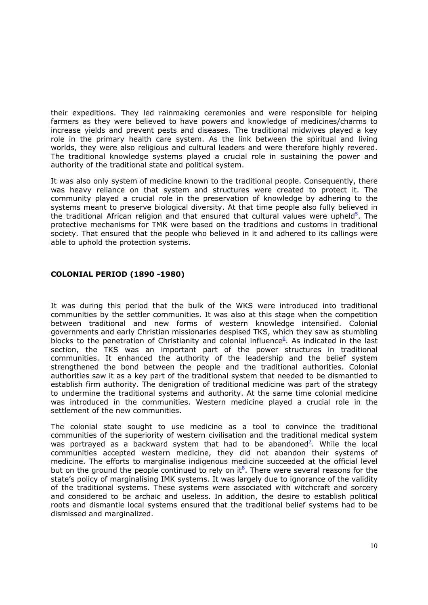their expeditions. They led rainmaking ceremonies and were responsible for helping farmers as they were believed to have powers and knowledge of medicines/charms to increase yields and prevent pests and diseases. The traditional midwives played a key role in the primary health care system. As the link between the spiritual and living worlds, they were also religious and cultural leaders and were therefore highly revered. The traditional knowledge systems played a crucial role in sustaining the power and authority of the traditional state and political system.

It was also only system of medicine known to the traditional people. Consequently, there was heavy reliance on that system and structures were created to protect it. The community played a crucial role in the preservation of knowledge by adhering to the systems meant to preserve biological diversity. At that time people also fully believed in the traditional African religion and that ensured that cultural values were upheld<sup>5</sup>. The protective mechanisms for TMK were based on the traditions and customs in traditional society. That ensured that the people who believed in it and adhered to its callings were able to uphold the protection systems.

# **COLONIAL PERIOD (1890 -1980)**

It was during this period that the bulk of the WKS were introduced into traditional communities by the settler communities. It was also at this stage when the competition between traditional and new forms of western knowledge intensified. Colonial governments and early Christian missionaries despised TKS, which they saw as stumbling blocks to the penetration of Christianity and colonial influence<sup>[6](http://gwmail2.nottingham.ac.uk/servlet/webacc/hobktbUc8lhdpidEqc/GWAP/AREF/)</sup>. As indicated in the last section, the TKS was an important part of the power structures in traditional communities. It enhanced the authority of the leadership and the belief system strengthened the bond between the people and the traditional authorities. Colonial authorities saw it as a key part of the traditional system that needed to be dismantled to establish firm authority. The denigration of traditional medicine was part of the strategy to undermine the traditional systems and authority. At the same time colonial medicine was introduced in the communities. Western medicine played a crucial role in the settlement of the new communities.

The colonial state sought to use medicine as a tool to convince the traditional communities of the superiority of western civilisation and the traditional medical system was portrayed as a backward system that had to be abandoned<sup>2</sup>. While the local communities accepted western medicine, they did not abandon their systems of medicine. The efforts to marginalise indigenous medicine succeeded at the official level but on the ground the people continued to rely on it $^8$  $^8$ . There were several reasons for the state's policy of marginalising IMK systems. It was largely due to ignorance of the validity of the traditional systems. These systems were associated with witchcraft and sorcery and considered to be archaic and useless. In addition, the desire to establish political roots and dismantle local systems ensured that the traditional belief systems had to be dismissed and marginalized.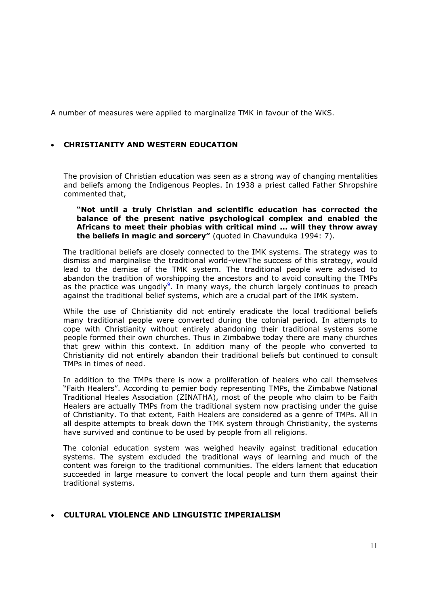A number of measures were applied to marginalize TMK in favour of the WKS.

## • **CHRISTIANITY AND WESTERN EDUCATION**

The provision of Christian education was seen as a strong way of changing mentalities and beliefs among the Indigenous Peoples. In 1938 a priest called Father Shropshire commented that,

**"Not until a truly Christian and scientific education has corrected the balance of the present native psychological complex and enabled the Africans to meet their phobias with critical mind ... will they throw away the beliefs in magic and sorcery"** (quoted in Chavunduka 1994: 7).

The traditional beliefs are closely connected to the IMK systems. The strategy was to dismiss and marginalise the traditional world-viewThe success of this strategy, would lead to the demise of the TMK system. The traditional people were advised to abandon the tradition of worshipping the ancestors and to avoid consulting the TMPs as the practice was ungodly $9$ . In many ways, the church largely continues to preach against the traditional belief systems, which are a crucial part of the IMK system.

While the use of Christianity did not entirely eradicate the local traditional beliefs many traditional people were converted during the colonial period. In attempts to cope with Christianity without entirely abandoning their traditional systems some people formed their own churches. Thus in Zimbabwe today there are many churches that grew within this context. In addition many of the people who converted to Christianity did not entirely abandon their traditional beliefs but continued to consult TMPs in times of need.

In addition to the TMPs there is now a proliferation of healers who call themselves "Faith Healers". According to pemier body representing TMPs, the Zimbabwe National Traditional Heales Association (ZINATHA), most of the people who claim to be Faith Healers are actually TMPs from the traditional system now practising under the guise of Christianity. To that extent, Faith Healers are considered as a genre of TMPs. All in all despite attempts to break down the TMK system through Christianity, the systems have survived and continue to be used by people from all religions.

The colonial education system was weighed heavily against traditional education systems. The system excluded the traditional ways of learning and much of the content was foreign to the traditional communities. The elders lament that education succeeded in large measure to convert the local people and turn them against their traditional systems.

# • **CULTURAL VIOLENCE AND LINGUISTIC IMPERIALISM**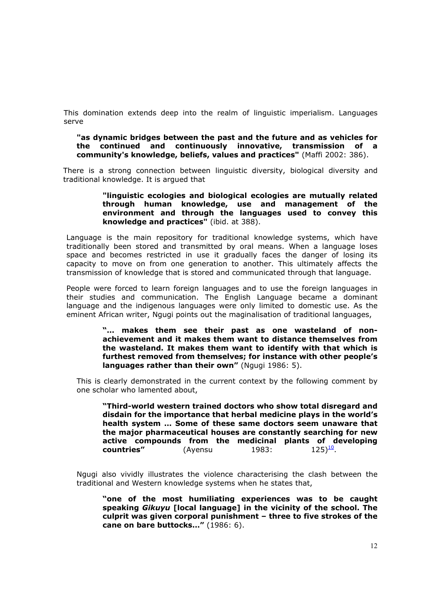This domination extends deep into the realm of linguistic imperialism. Languages serve

#### **"as dynamic bridges between the past and the future and as vehicles for the continued and continuously innovative, transmission of a community's knowledge, beliefs, values and practices"** (Maffi 2002: 386).

There is a strong connection between linguistic diversity, biological diversity and traditional knowledge. It is argued that

#### **"linguistic ecologies and biological ecologies are mutually related through human knowledge, use and management of the environment and through the languages used to convey this knowledge and practices"** (ibid. at 388).

Language is the main repository for traditional knowledge systems, which have traditionally been stored and transmitted by oral means. When a language loses space and becomes restricted in use it gradually faces the danger of losing its capacity to move on from one generation to another. This ultimately affects the transmission of knowledge that is stored and communicated through that language.

People were forced to learn foreign languages and to use the foreign languages in their studies and communication. The English Language became a dominant language and the indigenous languages were only limited to domestic use. As the eminent African writer, Ngugi points out the maginalisation of traditional languages,

> **"… makes them see their past as one wasteland of nonachievement and it makes them want to distance themselves from the wasteland. It makes them want to identify with that which is furthest removed from themselves; for instance with other people's languages rather than their own"** (Ngugi 1986: 5).

This is clearly demonstrated in the current context by the following comment by one scholar who lamented about,

**"Third-world western trained doctors who show total disregard and disdain for the importance that herbal medicine plays in the world's health system … Some of these same doctors seem unaware that the major pharmaceutical houses are constantly searching for new active compounds from the medicinal plants of developing countries"** (Ayensu  $1983: 125)^{10}$ .

Ngugi also vividly illustrates the violence characterising the clash between the traditional and Western knowledge systems when he states that,

**"one of the most humiliating experiences was to be caught speaking** *Gikuyu* **[local language] in the vicinity of the school. The culprit was given corporal punishment – three to five strokes of the cane on bare buttocks…"** (1986: 6).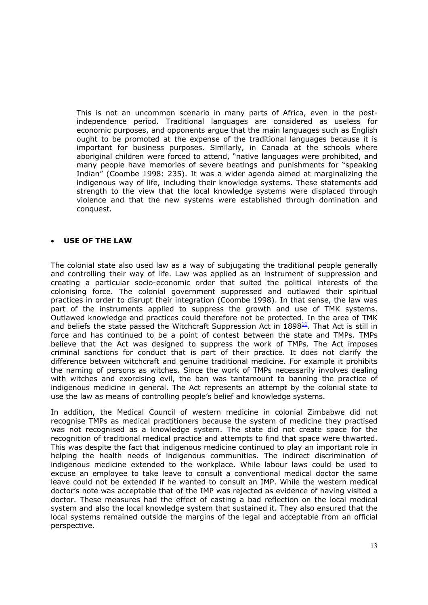This is not an uncommon scenario in many parts of Africa, even in the postindependence period. Traditional languages are considered as useless for economic purposes, and opponents argue that the main languages such as English ought to be promoted at the expense of the traditional languages because it is important for business purposes. Similarly, in Canada at the schools where aboriginal children were forced to attend, "native languages were prohibited, and many people have memories of severe beatings and punishments for "speaking Indian" (Coombe 1998: 235). It was a wider agenda aimed at marginalizing the indigenous way of life, including their knowledge systems. These statements add strength to the view that the local knowledge systems were displaced through violence and that the new systems were established through domination and conquest.

#### • **USE OF THE LAW**

The colonial state also used law as a way of subjugating the traditional people generally and controlling their way of life. Law was applied as an instrument of suppression and creating a particular socio-economic order that suited the political interests of the colonising force. The colonial government suppressed and outlawed their spiritual practices in order to disrupt their integration (Coombe 1998). In that sense, the law was part of the instruments applied to suppress the growth and use of TMK systems. Outlawed knowledge and practices could therefore not be protected. In the area of TMK and beliefs the state passed the Witchcraft Suppression Act in  $1898<sup>11</sup>$ . That Act is still in force and has continued to be a point of contest between the state and TMPs. TMPs believe that the Act was designed to suppress the work of TMPs. The Act imposes criminal sanctions for conduct that is part of their practice. It does not clarify the difference between witchcraft and genuine traditional medicine. For example it prohibits the naming of persons as witches. Since the work of TMPs necessarily involves dealing with witches and exorcising evil, the ban was tantamount to banning the practice of indigenous medicine in general. The Act represents an attempt by the colonial state to use the law as means of controlling people's belief and knowledge systems.

In addition, the Medical Council of western medicine in colonial Zimbabwe did not recognise TMPs as medical practitioners because the system of medicine they practised was not recognised as a knowledge system. The state did not create space for the recognition of traditional medical practice and attempts to find that space were thwarted. This was despite the fact that indigenous medicine continued to play an important role in helping the health needs of indigenous communities. The indirect discrimination of indigenous medicine extended to the workplace. While labour laws could be used to excuse an employee to take leave to consult a conventional medical doctor the same leave could not be extended if he wanted to consult an IMP. While the western medical doctor's note was acceptable that of the IMP was rejected as evidence of having visited a doctor. These measures had the effect of casting a bad reflection on the local medical system and also the local knowledge system that sustained it. They also ensured that the local systems remained outside the margins of the legal and acceptable from an official perspective.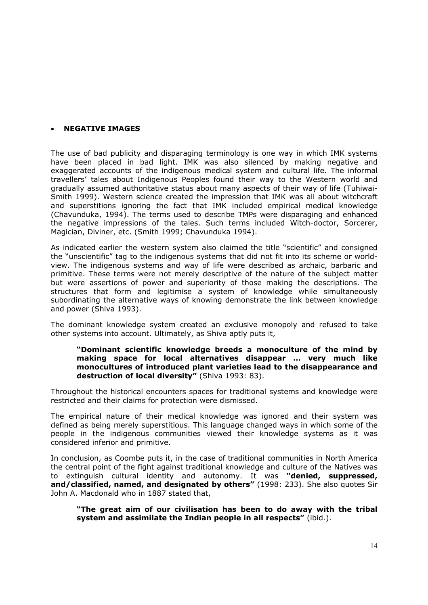### • **NEGATIVE IMAGES**

The use of bad publicity and disparaging terminology is one way in which IMK systems have been placed in bad light. IMK was also silenced by making negative and exaggerated accounts of the indigenous medical system and cultural life. The informal travellers' tales about Indigenous Peoples found their way to the Western world and gradually assumed authoritative status about many aspects of their way of life (Tuhiwai-Smith 1999). Western science created the impression that IMK was all about witchcraft and superstitions ignoring the fact that IMK included empirical medical knowledge (Chavunduka, 1994). The terms used to describe TMPs were disparaging and enhanced the negative impressions of the tales. Such terms included Witch-doctor, Sorcerer, Magician, Diviner, etc. (Smith 1999; Chavunduka 1994).

As indicated earlier the western system also claimed the title "scientific" and consigned the "unscientific" tag to the indigenous systems that did not fit into its scheme or worldview. The indigenous systems and way of life were described as archaic, barbaric and primitive. These terms were not merely descriptive of the nature of the subject matter but were assertions of power and superiority of those making the descriptions. The structures that form and legitimise a system of knowledge while simultaneously subordinating the alternative ways of knowing demonstrate the link between knowledge and power (Shiva 1993).

The dominant knowledge system created an exclusive monopoly and refused to take other systems into account. Ultimately, as Shiva aptly puts it,

#### **"Dominant scientific knowledge breeds a monoculture of the mind by making space for local alternatives disappear … very much like monocultures of introduced plant varieties lead to the disappearance and destruction of local diversity"** (Shiva 1993: 83).

Throughout the historical encounters spaces for traditional systems and knowledge were restricted and their claims for protection were dismissed.

The empirical nature of their medical knowledge was ignored and their system was defined as being merely superstitious. This language changed ways in which some of the people in the indigenous communities viewed their knowledge systems as it was considered inferior and primitive.

In conclusion, as Coombe puts it, in the case of traditional communities in North America the central point of the fight against traditional knowledge and culture of the Natives was to extinguish cultural identity and autonomy. It was **"denied, suppressed, and/classified, named, and designated by others"** (1998: 233). She also quotes Sir John A. Macdonald who in 1887 stated that,

**"The great aim of our civilisation has been to do away with the tribal system and assimilate the Indian people in all respects"** (ibid.).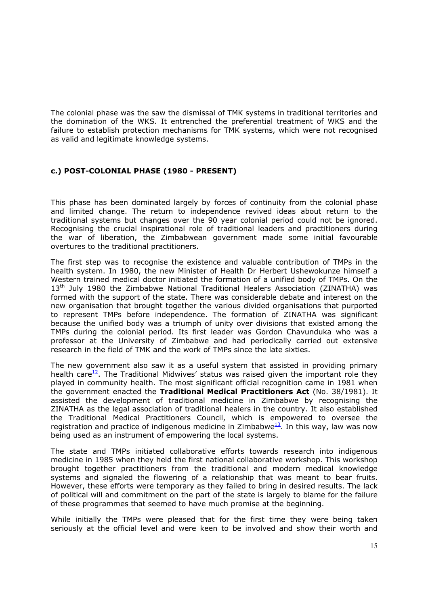The colonial phase was the saw the dismissal of TMK systems in traditional territories and the domination of the WKS. It entrenched the preferential treatment of WKS and the failure to establish protection mechanisms for TMK systems, which were not recognised as valid and legitimate knowledge systems.

# **c.) POST-COLONIAL PHASE (1980 - PRESENT)**

This phase has been dominated largely by forces of continuity from the colonial phase and limited change. The return to independence revived ideas about return to the traditional systems but changes over the 90 year colonial period could not be ignored. Recognising the crucial inspirational role of traditional leaders and practitioners during the war of liberation, the Zimbabwean government made some initial favourable overtures to the traditional practitioners.

The first step was to recognise the existence and valuable contribution of TMPs in the health system. In 1980, the new Minister of Health Dr Herbert Ushewokunze himself a Western trained medical doctor initiated the formation of a unified body of TMPs. On the 13<sup>th</sup> July 1980 the Zimbabwe National Traditional Healers Association (ZINATHA) was formed with the support of the state. There was considerable debate and interest on the new organisation that brought together the various divided organisations that purported to represent TMPs before independence. The formation of ZINATHA was significant because the unified body was a triumph of unity over divisions that existed among the TMPs during the colonial period. Its first leader was Gordon Chavunduka who was a professor at the University of Zimbabwe and had periodically carried out extensive research in the field of TMK and the work of TMPs since the late sixties.

The new government also saw it as a useful system that assisted in providing primary health care<sup>12</sup>. The Traditional Midwives' status was raised given the important role they played in community health. The most significant official recognition came in 1981 when the government enacted the **Traditional Medical Practitioners Act** (No. 38/1981). It assisted the development of traditional medicine in Zimbabwe by recognising the ZINATHA as the legal association of traditional healers in the country. It also established the Traditional Medical Practitioners Council, which is empowered to oversee the registration and practice of indigenous medicine in Zimbabwe<sup>13</sup>. In this way, law was now being used as an instrument of empowering the local systems.

The state and TMPs initiated collaborative efforts towards research into indigenous medicine in 1985 when they held the first national collaborative workshop. This workshop brought together practitioners from the traditional and modern medical knowledge systems and signaled the flowering of a relationship that was meant to bear fruits. However, these efforts were temporary as they failed to bring in desired results. The lack of political will and commitment on the part of the state is largely to blame for the failure of these programmes that seemed to have much promise at the beginning.

While initially the TMPs were pleased that for the first time they were being taken seriously at the official level and were keen to be involved and show their worth and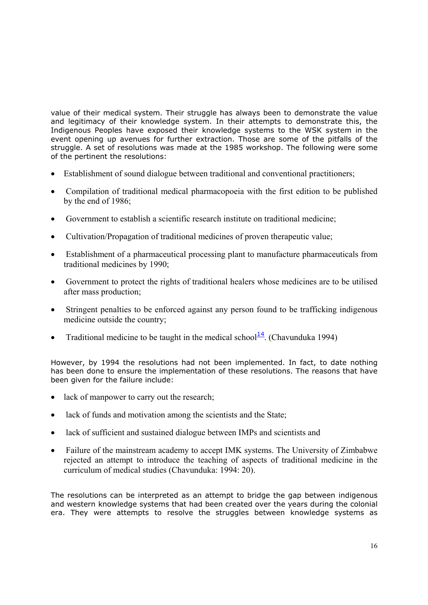value of their medical system. Their struggle has always been to demonstrate the value and legitimacy of their knowledge system. In their attempts to demonstrate this, the Indigenous Peoples have exposed their knowledge systems to the WSK system in the event opening up avenues for further extraction. Those are some of the pitfalls of the struggle. A set of resolutions was made at the 1985 workshop. The following were some of the pertinent the resolutions:

- Establishment of sound dialogue between traditional and conventional practitioners;
- Compilation of traditional medical pharmacopoeia with the first edition to be published by the end of 1986;
- Government to establish a scientific research institute on traditional medicine;
- Cultivation/Propagation of traditional medicines of proven therapeutic value;
- Establishment of a pharmaceutical processing plant to manufacture pharmaceuticals from traditional medicines by 1990;
- Government to protect the rights of traditional healers whose medicines are to be utilised after mass production;
- Stringent penalties to be enforced against any person found to be trafficking indigenous medicine outside the country;
- Traditional medicine to be taught in the medical school $\frac{14}{1}$  $\frac{14}{1}$  $\frac{14}{1}$ . (Chavunduka 1994)

However, by 1994 the resolutions had not been implemented. In fact, to date nothing has been done to ensure the implementation of these resolutions. The reasons that have been given for the failure include:

- lack of manpower to carry out the research:
- lack of funds and motivation among the scientists and the State;
- lack of sufficient and sustained dialogue between IMPs and scientists and
- Failure of the mainstream academy to accept IMK systems. The University of Zimbabwe rejected an attempt to introduce the teaching of aspects of traditional medicine in the curriculum of medical studies (Chavunduka: 1994: 20).

The resolutions can be interpreted as an attempt to bridge the gap between indigenous and western knowledge systems that had been created over the years during the colonial era. They were attempts to resolve the struggles between knowledge systems as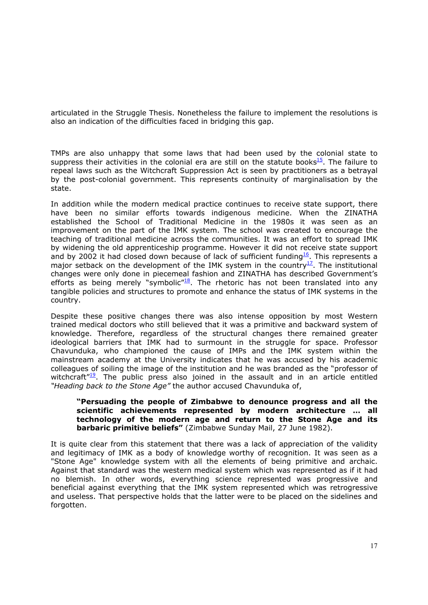articulated in the Struggle Thesis. Nonetheless the failure to implement the resolutions is also an indication of the difficulties faced in bridging this gap.

TMPs are also unhappy that some laws that had been used by the colonial state to suppress their activities in the colonial era are still on the statute books $15$ . The failure to repeal laws such as the Witchcraft Suppression Act is seen by practitioners as a betrayal by the post-colonial government. This represents continuity of marginalisation by the state.

In addition while the modern medical practice continues to receive state support, there have been no similar efforts towards indigenous medicine. When the ZINATHA established the School of Traditional Medicine in the 1980s it was seen as an improvement on the part of the IMK system. The school was created to encourage the teaching of traditional medicine across the communities. It was an effort to spread IMK by widening the old apprenticeship programme. However it did not receive state support and by 2002 it had closed down because of lack of sufficient funding<sup>16</sup>. This represents a major setback on the development of the IMK system in the country<sup>17</sup>. The institutional changes were only done in piecemeal fashion and ZINATHA has described Government's efforts as being merely "symbolic" $18$ . The rhetoric has not been translated into any tangible policies and structures to promote and enhance the status of IMK systems in the country.

Despite these positive changes there was also intense opposition by most Western trained medical doctors who still believed that it was a primitive and backward system of knowledge. Therefore, regardless of the structural changes there remained greater ideological barriers that IMK had to surmount in the struggle for space. Professor Chavunduka, who championed the cause of IMPs and the IMK system within the mainstream academy at the University indicates that he was accused by his academic colleagues of soiling the image of the institution and he was branded as the "professor of witchcraft $^{\prime\prime 19}$ . The public press also joined in the assault and in an article entitled *"Heading back to the Stone Age"* the author accused Chavunduka of,

### **"Persuading the people of Zimbabwe to denounce progress and all the scientific achievements represented by modern architecture … all technology of the modern age and return to the Stone Age and its barbaric primitive beliefs"** (Zimbabwe Sunday Mail, 27 June 1982).

It is quite clear from this statement that there was a lack of appreciation of the validity and legitimacy of IMK as a body of knowledge worthy of recognition. It was seen as a "Stone Age" knowledge system with all the elements of being primitive and archaic. Against that standard was the western medical system which was represented as if it had no blemish. In other words, everything science represented was progressive and beneficial against everything that the IMK system represented which was retrogressive and useless. That perspective holds that the latter were to be placed on the sidelines and forgotten.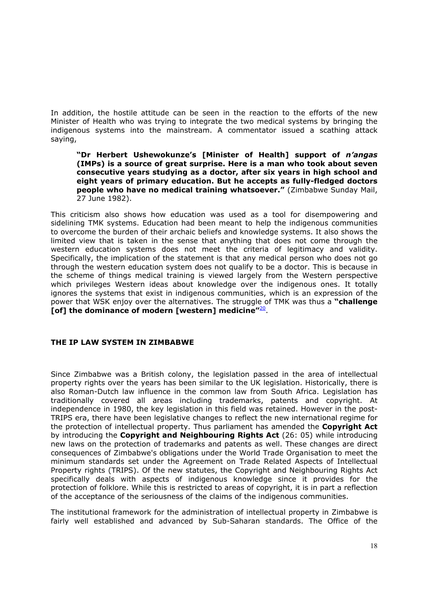In addition, the hostile attitude can be seen in the reaction to the efforts of the new Minister of Health who was trying to integrate the two medical systems by bringing the indigenous systems into the mainstream. A commentator issued a scathing attack saying,

**"Dr Herbert Ushewokunze's [Minister of Health] support of** *n'angas* **(IMPs) is a source of great surprise. Here is a man who took about seven consecutive years studying as a doctor, after six years in high school and eight years of primary education. But he accepts as fully-fledged doctors people who have no medical training whatsoever."** (Zimbabwe Sunday Mail, 27 June 1982).

This criticism also shows how education was used as a tool for disempowering and sidelining TMK systems. Education had been meant to help the indigenous communities to overcome the burden of their archaic beliefs and knowledge systems. It also shows the limited view that is taken in the sense that anything that does not come through the western education systems does not meet the criteria of legitimacy and validity. Specifically, the implication of the statement is that any medical person who does not go through the western education system does not qualify to be a doctor. This is because in the scheme of things medical training is viewed largely from the Western perspective which privileges Western ideas about knowledge over the indigenous ones. It totally ignores the systems that exist in indigenous communities, which is an expression of the power that WSK enjoy over the alternatives. The struggle of TMK was thus a **"challenge [of] the dominance of modern [western] medicine"**[20](http://gwmail2.nottingham.ac.uk/servlet/webacc/hobktbUc8lhdpidEqc/GWAP/AREF/).

### **THE IP LAW SYSTEM IN ZIMBABWE**

Since Zimbabwe was a British colony, the legislation passed in the area of intellectual property rights over the years has been similar to the UK legislation. Historically, there is also Roman-Dutch law influence in the common law from South Africa. Legislation has traditionally covered all areas including trademarks, patents and copyright. At independence in 1980, the key legislation in this field was retained. However in the post-TRIPS era, there have been legislative changes to reflect the new international regime for the protection of intellectual property. Thus parliament has amended the **Copyright Act** by introducing the **Copyright and Neighbouring Rights Act** (26: 05) while introducing new laws on the protection of trademarks and patents as well. These changes are direct consequences of Zimbabwe's obligations under the World Trade Organisation to meet the minimum standards set under the Agreement on Trade Related Aspects of Intellectual Property rights (TRIPS). Of the new statutes, the Copyright and Neighbouring Rights Act specifically deals with aspects of indigenous knowledge since it provides for the protection of folklore. While this is restricted to areas of copyright, it is in part a reflection of the acceptance of the seriousness of the claims of the indigenous communities.

The institutional framework for the administration of intellectual property in Zimbabwe is fairly well established and advanced by Sub-Saharan standards. The Office of the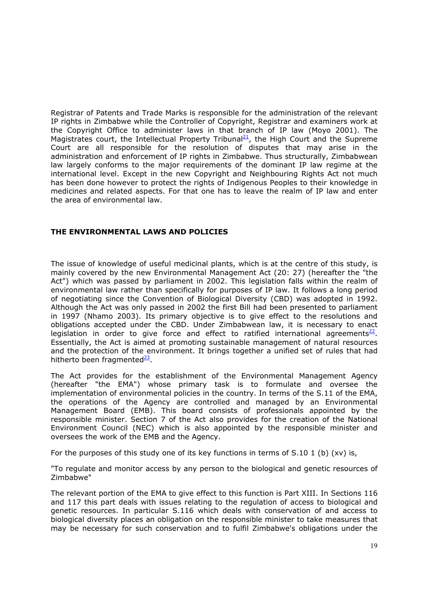Registrar of Patents and Trade Marks is responsible for the administration of the relevant IP rights in Zimbabwe while the Controller of Copyright, Registrar and examiners work at the Copyright Office to administer laws in that branch of IP law (Moyo 2001). The Magistrates court, the Intellectual Property Tribunal<sup>21</sup>, the High Court and the Supreme Court are all responsible for the resolution of disputes that may arise in the administration and enforcement of IP rights in Zimbabwe. Thus structurally, Zimbabwean law largely conforms to the major requirements of the dominant IP law regime at the international level. Except in the new Copyright and Neighbouring Rights Act not much has been done however to protect the rights of Indigenous Peoples to their knowledge in medicines and related aspects. For that one has to leave the realm of IP law and enter the area of environmental law.

### **THE ENVIRONMENTAL LAWS AND POLICIES**

The issue of knowledge of useful medicinal plants, which is at the centre of this study, is mainly covered by the new Environmental Management Act (20: 27) (hereafter the "the Act") which was passed by parliament in 2002. This legislation falls within the realm of environmental law rather than specifically for purposes of IP law. It follows a long period of negotiating since the Convention of Biological Diversity (CBD) was adopted in 1992. Although the Act was only passed in 2002 the first Bill had been presented to parliament in 1997 (Nhamo 2003). Its primary objective is to give effect to the resolutions and obligations accepted under the CBD. Under Zimbabwean law, it is necessary to enact legislation in order to give force and effect to ratified international agreements $^{22}$ . Essentially, the Act is aimed at promoting sustainable management of natural resources and the protection of the environment. It brings together a unified set of rules that had hitherto been fragmented $^{23}$ .

The Act provides for the establishment of the Environmental Management Agency (hereafter "the EMA") whose primary task is to formulate and oversee the implementation of environmental policies in the country. In terms of the S.11 of the EMA, the operations of the Agency are controlled and managed by an Environmental Management Board (EMB). This board consists of professionals appointed by the responsible minister. Section 7 of the Act also provides for the creation of the National Environment Council (NEC) which is also appointed by the responsible minister and oversees the work of the EMB and the Agency.

For the purposes of this study one of its key functions in terms of S.10 1 (b) (xy) is,

"To regulate and monitor access by any person to the biological and genetic resources of Zimbabwe"

The relevant portion of the EMA to give effect to this function is Part XIII. In Sections 116 and 117 this part deals with issues relating to the regulation of access to biological and genetic resources. In particular S.116 which deals with conservation of and access to biological diversity places an obligation on the responsible minister to take measures that may be necessary for such conservation and to fulfil Zimbabwe's obligations under the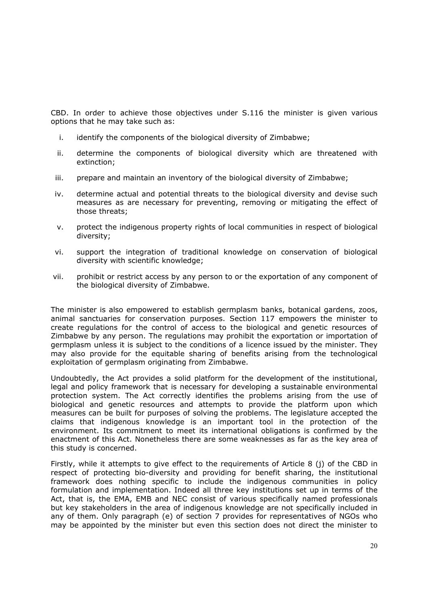CBD. In order to achieve those objectives under S.116 the minister is given various options that he may take such as:

- i. identify the components of the biological diversity of Zimbabwe;
- ii. determine the components of biological diversity which are threatened with extinction;
- iii. prepare and maintain an inventory of the biological diversity of Zimbabwe;
- iv. determine actual and potential threats to the biological diversity and devise such measures as are necessary for preventing, removing or mitigating the effect of those threats;
- v. protect the indigenous property rights of local communities in respect of biological diversity;
- vi. support the integration of traditional knowledge on conservation of biological diversity with scientific knowledge;
- vii. prohibit or restrict access by any person to or the exportation of any component of the biological diversity of Zimbabwe.

The minister is also empowered to establish germplasm banks, botanical gardens, zoos, animal sanctuaries for conservation purposes. Section 117 empowers the minister to create regulations for the control of access to the biological and genetic resources of Zimbabwe by any person. The regulations may prohibit the exportation or importation of germplasm unless it is subject to the conditions of a licence issued by the minister. They may also provide for the equitable sharing of benefits arising from the technological exploitation of germplasm originating from Zimbabwe.

Undoubtedly, the Act provides a solid platform for the development of the institutional, legal and policy framework that is necessary for developing a sustainable environmental protection system. The Act correctly identifies the problems arising from the use of biological and genetic resources and attempts to provide the platform upon which measures can be built for purposes of solving the problems. The legislature accepted the claims that indigenous knowledge is an important tool in the protection of the environment. Its commitment to meet its international obligations is confirmed by the enactment of this Act. Nonetheless there are some weaknesses as far as the key area of this study is concerned.

Firstly, while it attempts to give effect to the requirements of Article 8 (j) of the CBD in respect of protecting bio-diversity and providing for benefit sharing, the institutional framework does nothing specific to include the indigenous communities in policy formulation and implementation. Indeed all three key institutions set up in terms of the Act, that is, the EMA, EMB and NEC consist of various specifically named professionals but key stakeholders in the area of indigenous knowledge are not specifically included in any of them. Only paragraph (e) of section 7 provides for representatives of NGOs who may be appointed by the minister but even this section does not direct the minister to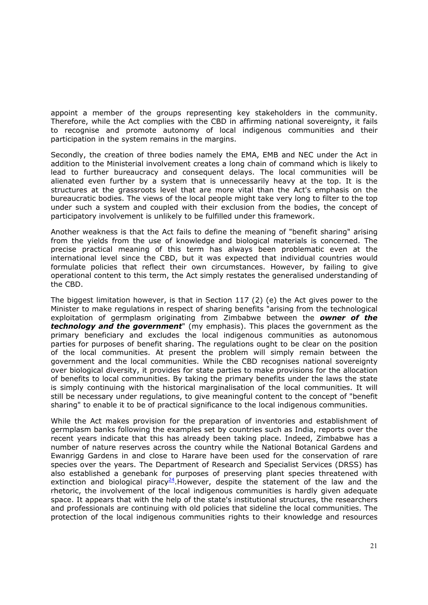appoint a member of the groups representing key stakeholders in the community. Therefore, while the Act complies with the CBD in affirming national sovereignty, it fails to recognise and promote autonomy of local indigenous communities and their participation in the system remains in the margins.

Secondly, the creation of three bodies namely the EMA, EMB and NEC under the Act in addition to the Ministerial involvement creates a long chain of command which is likely to lead to further bureaucracy and consequent delays. The local communities will be alienated even further by a system that is unnecessarily heavy at the top. It is the structures at the grassroots level that are more vital than the Act's emphasis on the bureaucratic bodies. The views of the local people might take very long to filter to the top under such a system and coupled with their exclusion from the bodies, the concept of participatory involvement is unlikely to be fulfilled under this framework.

Another weakness is that the Act fails to define the meaning of "benefit sharing" arising from the yields from the use of knowledge and biological materials is concerned. The precise practical meaning of this term has always been problematic even at the international level since the CBD, but it was expected that individual countries would formulate policies that reflect their own circumstances. However, by failing to give operational content to this term, the Act simply restates the generalised understanding of the CBD.

The biggest limitation however, is that in Section 117 (2) (e) the Act gives power to the Minister to make regulations in respect of sharing benefits "arising from the technological exploitation of germplasm originating from Zimbabwe between the *owner of the technology and the government*" (my emphasis). This places the government as the primary beneficiary and excludes the local indigenous communities as autonomous parties for purposes of benefit sharing. The regulations ought to be clear on the position of the local communities. At present the problem will simply remain between the government and the local communities. While the CBD recognises national sovereignty over biological diversity, it provides for state parties to make provisions for the allocation of benefits to local communities. By taking the primary benefits under the laws the state is simply continuing with the historical marginalisation of the local communities. It will still be necessary under regulations, to give meaningful content to the concept of "benefit sharing" to enable it to be of practical significance to the local indigenous communities.

While the Act makes provision for the preparation of inventories and establishment of germplasm banks following the examples set by countries such as India, reports over the recent years indicate that this has already been taking place. Indeed, Zimbabwe has a number of nature reserves across the country while the National Botanical Gardens and Ewanrigg Gardens in and close to Harare have been used for the conservation of rare species over the years. The Department of Research and Specialist Services (DRSS) has also established a genebank for purposes of preserving plant species threatened with extinction and biological piracy<sup>24</sup>.However, despite the statement of the law and the rhetoric, the involvement of the local indigenous communities is hardly given adequate space. It appears that with the help of the state's institutional structures, the researchers and professionals are continuing with old policies that sideline the local communities. The protection of the local indigenous communities rights to their knowledge and resources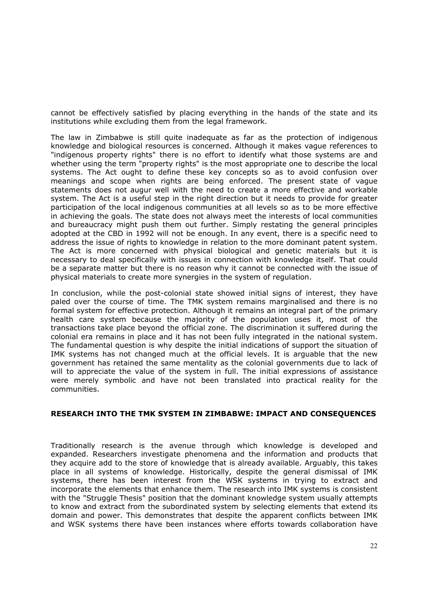cannot be effectively satisfied by placing everything in the hands of the state and its institutions while excluding them from the legal framework.

The law in Zimbabwe is still quite inadequate as far as the protection of indigenous knowledge and biological resources is concerned. Although it makes vague references to "indigenous property rights" there is no effort to identify what those systems are and whether using the term "property rights" is the most appropriate one to describe the local systems. The Act ought to define these key concepts so as to avoid confusion over meanings and scope when rights are being enforced. The present state of vague statements does not augur well with the need to create a more effective and workable system. The Act is a useful step in the right direction but it needs to provide for greater participation of the local indigenous communities at all levels so as to be more effective in achieving the goals. The state does not always meet the interests of local communities and bureaucracy might push them out further. Simply restating the general principles adopted at the CBD in 1992 will not be enough. In any event, there is a specific need to address the issue of rights to knowledge in relation to the more dominant patent system. The Act is more concerned with physical biological and genetic materials but it is necessary to deal specifically with issues in connection with knowledge itself. That could be a separate matter but there is no reason why it cannot be connected with the issue of physical materials to create more synergies in the system of regulation.

In conclusion, while the post-colonial state showed initial signs of interest, they have paled over the course of time. The TMK system remains marginalised and there is no formal system for effective protection. Although it remains an integral part of the primary health care system because the majority of the population uses it, most of the transactions take place beyond the official zone. The discrimination it suffered during the colonial era remains in place and it has not been fully integrated in the national system. The fundamental question is why despite the initial indications of support the situation of IMK systems has not changed much at the official levels. It is arguable that the new government has retained the same mentality as the colonial governments due to lack of will to appreciate the value of the system in full. The initial expressions of assistance were merely symbolic and have not been translated into practical reality for the communities.

### **RESEARCH INTO THE TMK SYSTEM IN ZIMBABWE: IMPACT AND CONSEQUENCES**

Traditionally research is the avenue through which knowledge is developed and expanded. Researchers investigate phenomena and the information and products that they acquire add to the store of knowledge that is already available. Arguably, this takes place in all systems of knowledge. Historically, despite the general dismissal of IMK systems, there has been interest from the WSK systems in trying to extract and incorporate the elements that enhance them. The research into IMK systems is consistent with the "Struggle Thesis" position that the dominant knowledge system usually attempts to know and extract from the subordinated system by selecting elements that extend its domain and power. This demonstrates that despite the apparent conflicts between IMK and WSK systems there have been instances where efforts towards collaboration have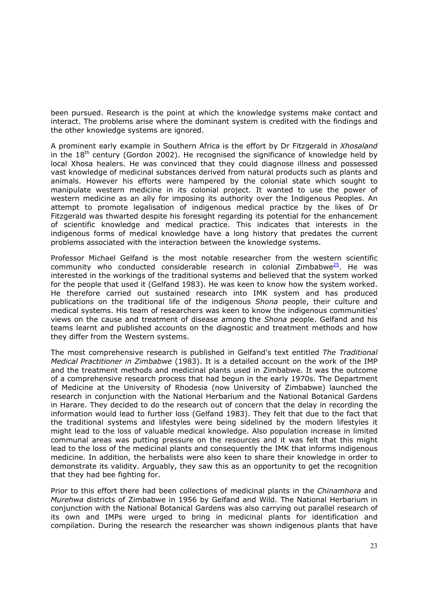been pursued. Research is the point at which the knowledge systems make contact and interact. The problems arise where the dominant system is credited with the findings and the other knowledge systems are ignored.

A prominent early example in Southern Africa is the effort by Dr Fitzgerald in *Xhosaland* in the  $18<sup>th</sup>$  century (Gordon 2002). He recognised the significance of knowledge held by local Xhosa healers. He was convinced that they could diagnose illness and possessed vast knowledge of medicinal substances derived from natural products such as plants and animals. However his efforts were hampered by the colonial state which sought to manipulate western medicine in its colonial project. It wanted to use the power of western medicine as an ally for imposing its authority over the Indigenous Peoples. An attempt to promote legalisation of indigenous medical practice by the likes of Dr Fitzgerald was thwarted despite his foresight regarding its potential for the enhancement of scientific knowledge and medical practice. This indicates that interests in the indigenous forms of medical knowledge have a long history that predates the current problems associated with the interaction between the knowledge systems.

Professor Michael Gelfand is the most notable researcher from the western scientific community who conducted considerable research in colonial Zimbabwe $\frac{25}{2}$ . He was interested in the workings of the traditional systems and believed that the system worked for the people that used it (Gelfand 1983). He was keen to know how the system worked. He therefore carried out sustained research into IMK system and has produced publications on the traditional life of the indigenous *Shona* people, their culture and medical systems. His team of researchers was keen to know the indigenous communities' views on the cause and treatment of disease among the *Shona* people. Gelfand and his teams learnt and published accounts on the diagnostic and treatment methods and how they differ from the Western systems.

The most comprehensive research is published in Gelfand's text entitled *The Traditional Medical Practitioner in Zimbabwe* (1983). It is a detailed account on the work of the IMP and the treatment methods and medicinal plants used in Zimbabwe. It was the outcome of a comprehensive research process that had begun in the early 1970s. The Department of Medicine at the University of Rhodesia (now University of Zimbabwe) launched the research in conjunction with the National Herbarium and the National Botanical Gardens in Harare. They decided to do the research out of concern that the delay in recording the information would lead to further loss (Gelfand 1983). They felt that due to the fact that the traditional systems and lifestyles were being sidelined by the modern lifestyles it might lead to the loss of valuable medical knowledge. Also population increase in limited communal areas was putting pressure on the resources and it was felt that this might lead to the loss of the medicinal plants and consequently the IMK that informs indigenous medicine. In addition, the herbalists were also keen to share their knowledge in order to demonstrate its validity. Arguably, they saw this as an opportunity to get the recognition that they had bee fighting for.

Prior to this effort there had been collections of medicinal plants in the *Chinamhora* and *Murehwa* districts of Zimbabwe in 1956 by Gelfand and Wild. The National Herbarium in conjunction with the National Botanical Gardens was also carrying out parallel research of its own and IMPs were urged to bring in medicinal plants for identification and compilation. During the research the researcher was shown indigenous plants that have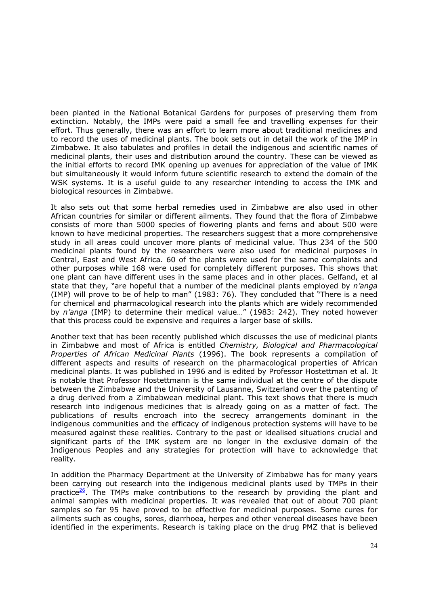been planted in the National Botanical Gardens for purposes of preserving them from extinction. Notably, the IMPs were paid a small fee and travelling expenses for their effort. Thus generally, there was an effort to learn more about traditional medicines and to record the uses of medicinal plants. The book sets out in detail the work of the IMP in Zimbabwe. It also tabulates and profiles in detail the indigenous and scientific names of medicinal plants, their uses and distribution around the country. These can be viewed as the initial efforts to record IMK opening up avenues for appreciation of the value of IMK but simultaneously it would inform future scientific research to extend the domain of the WSK systems. It is a useful guide to any researcher intending to access the IMK and biological resources in Zimbabwe.

It also sets out that some herbal remedies used in Zimbabwe are also used in other African countries for similar or different ailments. They found that the flora of Zimbabwe consists of more than 5000 species of flowering plants and ferns and about 500 were known to have medicinal properties. The researchers suggest that a more comprehensive study in all areas could uncover more plants of medicinal value. Thus 234 of the 500 medicinal plants found by the researchers were also used for medicinal purposes in Central, East and West Africa. 60 of the plants were used for the same complaints and other purposes while 168 were used for completely different purposes. This shows that one plant can have different uses in the same places and in other places. Gelfand, et al state that they, "are hopeful that a number of the medicinal plants employed by *n'anga* (IMP) will prove to be of help to man" (1983: 76). They concluded that "There is a need for chemical and pharmacological research into the plants which are widely recommended by *n'anga* (IMP) to determine their medical value…" (1983: 242). They noted however that this process could be expensive and requires a larger base of skills.

Another text that has been recently published which discusses the use of medicinal plants in Zimbabwe and most of Africa is entitled *Chemistry, Biological and Pharmacological Properties of African Medicinal Plants* (1996). The book represents a compilation of different aspects and results of research on the pharmacological properties of African medicinal plants. It was published in 1996 and is edited by Professor Hostettman et al. It is notable that Professor Hostettmann is the same individual at the centre of the dispute between the Zimbabwe and the University of Lausanne, Switzerland over the patenting of a drug derived from a Zimbabwean medicinal plant. This text shows that there is much research into indigenous medicines that is already going on as a matter of fact. The publications of results encroach into the secrecy arrangements dominant in the indigenous communities and the efficacy of indigenous protection systems will have to be measured against these realities. Contrary to the past or idealised situations crucial and significant parts of the IMK system are no longer in the exclusive domain of the Indigenous Peoples and any strategies for protection will have to acknowledge that reality.

In addition the Pharmacy Department at the University of Zimbabwe has for many years been carrying out research into the indigenous medicinal plants used by TMPs in their practice $\frac{26}{1}$ . The TMPs make contributions to the research by providing the plant and animal samples with medicinal properties. It was revealed that out of about 700 plant samples so far 95 have proved to be effective for medicinal purposes. Some cures for ailments such as coughs, sores, diarrhoea, herpes and other venereal diseases have been identified in the experiments. Research is taking place on the drug PMZ that is believed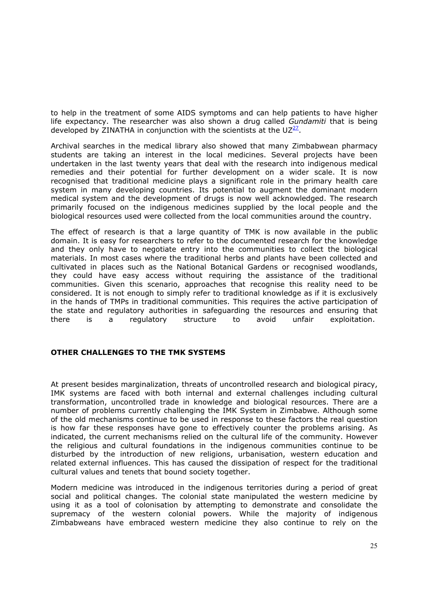to help in the treatment of some AIDS symptoms and can help patients to have higher life expectancy. The researcher was also shown a drug called *Gundamiti* that is being developed by ZINATHA in conjunction with the scientists at the  $UZ^{27}$  $UZ^{27}$  $UZ^{27}$ .

Archival searches in the medical library also showed that many Zimbabwean pharmacy students are taking an interest in the local medicines. Several projects have been undertaken in the last twenty years that deal with the research into indigenous medical remedies and their potential for further development on a wider scale. It is now recognised that traditional medicine plays a significant role in the primary health care system in many developing countries. Its potential to augment the dominant modern medical system and the development of drugs is now well acknowledged. The research primarily focused on the indigenous medicines supplied by the local people and the biological resources used were collected from the local communities around the country.

The effect of research is that a large quantity of TMK is now available in the public domain. It is easy for researchers to refer to the documented research for the knowledge and they only have to negotiate entry into the communities to collect the biological materials. In most cases where the traditional herbs and plants have been collected and cultivated in places such as the National Botanical Gardens or recognised woodlands, they could have easy access without requiring the assistance of the traditional communities. Given this scenario, approaches that recognise this reality need to be considered. It is not enough to simply refer to traditional knowledge as if it is exclusively in the hands of TMPs in traditional communities. This requires the active participation of the state and regulatory authorities in safeguarding the resources and ensuring that there is a regulatory structure to avoid unfair exploitation.

## **OTHER CHALLENGES TO THE TMK SYSTEMS**

At present besides marginalization, threats of uncontrolled research and biological piracy, IMK systems are faced with both internal and external challenges including cultural transformation, uncontrolled trade in knowledge and biological resources. There are a number of problems currently challenging the IMK System in Zimbabwe. Although some of the old mechanisms continue to be used in response to these factors the real question is how far these responses have gone to effectively counter the problems arising. As indicated, the current mechanisms relied on the cultural life of the community. However the religious and cultural foundations in the indigenous communities continue to be disturbed by the introduction of new religions, urbanisation, western education and related external influences. This has caused the dissipation of respect for the traditional cultural values and tenets that bound society together.

Modern medicine was introduced in the indigenous territories during a period of great social and political changes. The colonial state manipulated the western medicine by using it as a tool of colonisation by attempting to demonstrate and consolidate the supremacy of the western colonial powers. While the majority of indigenous Zimbabweans have embraced western medicine they also continue to rely on the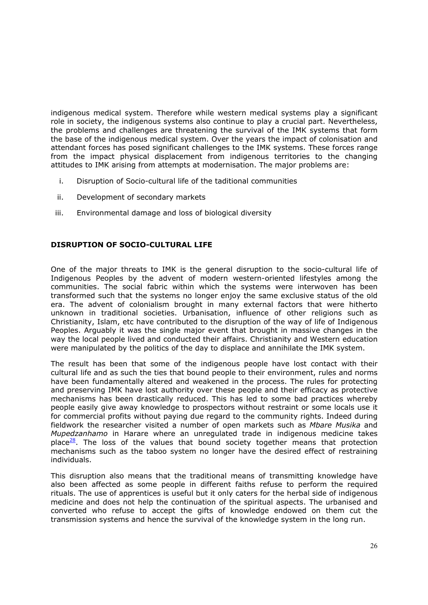indigenous medical system. Therefore while western medical systems play a significant role in society, the indigenous systems also continue to play a crucial part. Nevertheless, the problems and challenges are threatening the survival of the IMK systems that form the base of the indigenous medical system. Over the years the impact of colonisation and attendant forces has posed significant challenges to the IMK systems. These forces range from the impact physical displacement from indigenous territories to the changing attitudes to IMK arising from attempts at modernisation. The major problems are:

- i. Disruption of Socio-cultural life of the taditional communities
- ii. Development of secondary markets
- iii. Environmental damage and loss of biological diversity

# **DISRUPTION OF SOCIO-CULTURAL LIFE**

One of the major threats to IMK is the general disruption to the socio-cultural life of Indigenous Peoples by the advent of modern western-oriented lifestyles among the communities. The social fabric within which the systems were interwoven has been transformed such that the systems no longer enjoy the same exclusive status of the old era. The advent of colonialism brought in many external factors that were hitherto unknown in traditional societies. Urbanisation, influence of other religions such as Christianity, Islam, etc have contributed to the disruption of the way of life of Indigenous Peoples. Arguably it was the single major event that brought in massive changes in the way the local people lived and conducted their affairs. Christianity and Western education were manipulated by the politics of the day to displace and annihilate the IMK system.

The result has been that some of the indigenous people have lost contact with their cultural life and as such the ties that bound people to their environment, rules and norms have been fundamentally altered and weakened in the process. The rules for protecting and preserving IMK have lost authority over these people and their efficacy as protective mechanisms has been drastically reduced. This has led to some bad practices whereby people easily give away knowledge to prospectors without restraint or some locals use it for commercial profits without paying due regard to the community rights. Indeed during fieldwork the researcher visited a number of open markets such as *Mbare Musika* and *Mupedzanhamo* in Harare where an unregulated trade in indigenous medicine takes place $28$ . The loss of the values that bound society together means that protection mechanisms such as the taboo system no longer have the desired effect of restraining individuals.

This disruption also means that the traditional means of transmitting knowledge have also been affected as some people in different faiths refuse to perform the required rituals. The use of apprentices is useful but it only caters for the herbal side of indigenous medicine and does not help the continuation of the spiritual aspects. The urbanised and converted who refuse to accept the gifts of knowledge endowed on them cut the transmission systems and hence the survival of the knowledge system in the long run.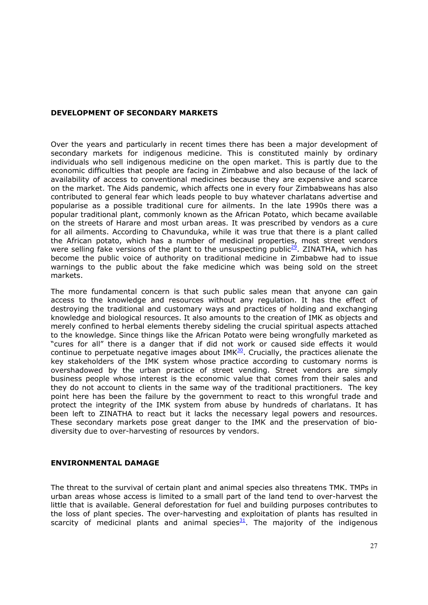#### **DEVELOPMENT OF SECONDARY MARKETS**

Over the years and particularly in recent times there has been a major development of secondary markets for indigenous medicine. This is constituted mainly by ordinary individuals who sell indigenous medicine on the open market. This is partly due to the economic difficulties that people are facing in Zimbabwe and also because of the lack of availability of access to conventional medicines because they are expensive and scarce on the market. The Aids pandemic, which affects one in every four Zimbabweans has also contributed to general fear which leads people to buy whatever charlatans advertise and popularise as a possible traditional cure for ailments. In the late 1990s there was a popular traditional plant, commonly known as the African Potato, which became available on the streets of Harare and most urban areas. It was prescribed by vendors as a cure for all ailments. According to Chavunduka, while it was true that there is a plant called the African potato, which has a number of medicinal properties, most street vendors were selling fake versions of the plant to the unsuspecting public<sup>29</sup>. ZINATHA, which has become the public voice of authority on traditional medicine in Zimbabwe had to issue warnings to the public about the fake medicine which was being sold on the street markets.

The more fundamental concern is that such public sales mean that anyone can gain access to the knowledge and resources without any regulation. It has the effect of destroying the traditional and customary ways and practices of holding and exchanging knowledge and biological resources. It also amounts to the creation of IMK as objects and merely confined to herbal elements thereby sideling the crucial spiritual aspects attached to the knowledge. Since things like the African Potato were being wrongfully marketed as "cures for all" there is a danger that if did not work or caused side effects it would continue to perpetuate negative images about  $IMK<sup>30</sup>$ . Crucially, the practices alienate the key stakeholders of the IMK system whose practice according to customary norms is overshadowed by the urban practice of street vending. Street vendors are simply business people whose interest is the economic value that comes from their sales and they do not account to clients in the same way of the traditional practitioners. The key point here has been the failure by the government to react to this wrongful trade and protect the integrity of the IMK system from abuse by hundreds of charlatans. It has been left to ZINATHA to react but it lacks the necessary legal powers and resources. These secondary markets pose great danger to the IMK and the preservation of biodiversity due to over-harvesting of resources by vendors.

### **ENVIRONMENTAL DAMAGE**

The threat to the survival of certain plant and animal species also threatens TMK. TMPs in urban areas whose access is limited to a small part of the land tend to over-harvest the little that is available. General deforestation for fuel and building purposes contributes to the loss of plant species. The over-harvesting and exploitation of plants has resulted in scarcity of medicinal plants and animal species $\frac{31}{2}$  $\frac{31}{2}$  $\frac{31}{2}$ . The majority of the indigenous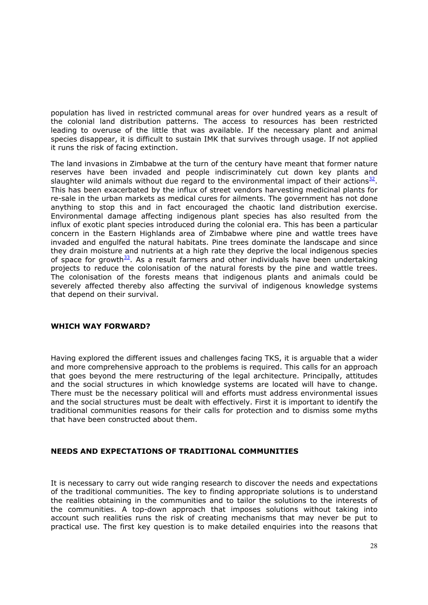population has lived in restricted communal areas for over hundred years as a result of the colonial land distribution patterns. The access to resources has been restricted leading to overuse of the little that was available. If the necessary plant and animal species disappear, it is difficult to sustain IMK that survives through usage. If not applied it runs the risk of facing extinction.

The land invasions in Zimbabwe at the turn of the century have meant that former nature reserves have been invaded and people indiscriminately cut down key plants and slaughter wild animals without due regard to the environmental impact of their actions<sup>[32](http://gwmail2.nottingham.ac.uk/servlet/webacc/hobktbUc8lhdpidEqc/GWAP/AREF/)</sup>. This has been exacerbated by the influx of street vendors harvesting medicinal plants for re-sale in the urban markets as medical cures for ailments. The government has not done anything to stop this and in fact encouraged the chaotic land distribution exercise. Environmental damage affecting indigenous plant species has also resulted from the influx of exotic plant species introduced during the colonial era. This has been a particular concern in the Eastern Highlands area of Zimbabwe where pine and wattle trees have invaded and engulfed the natural habitats. Pine trees dominate the landscape and since they drain moisture and nutrients at a high rate they deprive the local indigenous species of space for growth $33$ . As a result farmers and other individuals have been undertaking projects to reduce the colonisation of the natural forests by the pine and wattle trees. The colonisation of the forests means that indigenous plants and animals could be severely affected thereby also affecting the survival of indigenous knowledge systems that depend on their survival.

### **WHICH WAY FORWARD?**

Having explored the different issues and challenges facing TKS, it is arguable that a wider and more comprehensive approach to the problems is required. This calls for an approach that goes beyond the mere restructuring of the legal architecture. Principally, attitudes and the social structures in which knowledge systems are located will have to change. There must be the necessary political will and efforts must address environmental issues and the social structures must be dealt with effectively. First it is important to identify the traditional communities reasons for their calls for protection and to dismiss some myths that have been constructed about them.

### **NEEDS AND EXPECTATIONS OF TRADITIONAL COMMUNITIES**

It is necessary to carry out wide ranging research to discover the needs and expectations of the traditional communities. The key to finding appropriate solutions is to understand the realities obtaining in the communities and to tailor the solutions to the interests of the communities. A top-down approach that imposes solutions without taking into account such realities runs the risk of creating mechanisms that may never be put to practical use. The first key question is to make detailed enquiries into the reasons that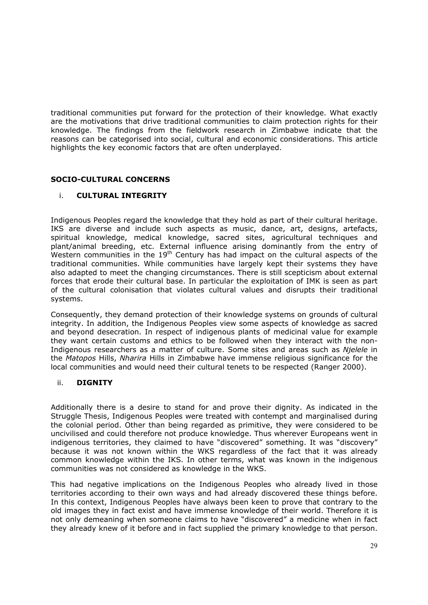traditional communities put forward for the protection of their knowledge. What exactly are the motivations that drive traditional communities to claim protection rights for their knowledge. The findings from the fieldwork research in Zimbabwe indicate that the reasons can be categorised into social, cultural and economic considerations. This article highlights the key economic factors that are often underplayed.

## **SOCIO-CULTURAL CONCERNS**

# i. **CULTURAL INTEGRITY**

Indigenous Peoples regard the knowledge that they hold as part of their cultural heritage. IKS are diverse and include such aspects as music, dance, art, designs, artefacts, spiritual knowledge, medical knowledge, sacred sites, agricultural techniques and plant/animal breeding, etc. External influence arising dominantly from the entry of Western communities in the  $19<sup>th</sup>$  Century has had impact on the cultural aspects of the traditional communities. While communities have largely kept their systems they have also adapted to meet the changing circumstances. There is still scepticism about external forces that erode their cultural base. In particular the exploitation of IMK is seen as part of the cultural colonisation that violates cultural values and disrupts their traditional systems.

Consequently, they demand protection of their knowledge systems on grounds of cultural integrity. In addition, the Indigenous Peoples view some aspects of knowledge as sacred and beyond desecration. In respect of indigenous plants of medicinal value for example they want certain customs and ethics to be followed when they interact with the non-Indigenous researchers as a matter of culture. Some sites and areas such as *Njelele* in the *Matopos* Hills, *Nharira* Hills in Zimbabwe have immense religious significance for the local communities and would need their cultural tenets to be respected (Ranger 2000).

### ii. **DIGNITY**

Additionally there is a desire to stand for and prove their dignity. As indicated in the Struggle Thesis, Indigenous Peoples were treated with contempt and marginalised during the colonial period. Other than being regarded as primitive, they were considered to be uncivilised and could therefore not produce knowledge. Thus wherever Europeans went in indigenous territories, they claimed to have "discovered" something. It was "discovery" because it was not known within the WKS regardless of the fact that it was already common knowledge within the IKS. In other terms, what was known in the indigenous communities was not considered as knowledge in the WKS.

This had negative implications on the Indigenous Peoples who already lived in those territories according to their own ways and had already discovered these things before. In this context, Indigenous Peoples have always been keen to prove that contrary to the old images they in fact exist and have immense knowledge of their world. Therefore it is not only demeaning when someone claims to have "discovered" a medicine when in fact they already knew of it before and in fact supplied the primary knowledge to that person.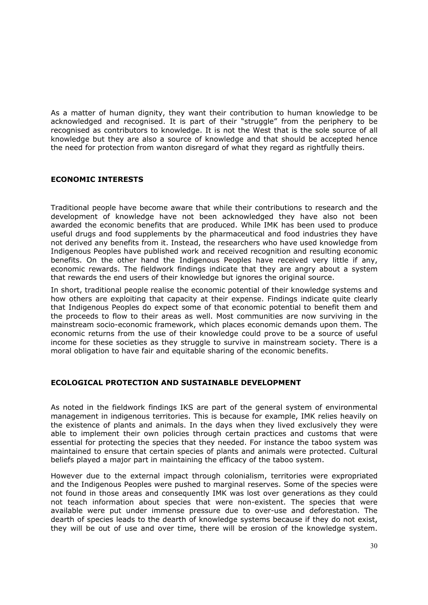As a matter of human dignity, they want their contribution to human knowledge to be acknowledged and recognised. It is part of their "struggle" from the periphery to be recognised as contributors to knowledge. It is not the West that is the sole source of all knowledge but they are also a source of knowledge and that should be accepted hence the need for protection from wanton disregard of what they regard as rightfully theirs.

## **ECONOMIC INTERESTS**

Traditional people have become aware that while their contributions to research and the development of knowledge have not been acknowledged they have also not been awarded the economic benefits that are produced. While IMK has been used to produce useful drugs and food supplements by the pharmaceutical and food industries they have not derived any benefits from it. Instead, the researchers who have used knowledge from Indigenous Peoples have published work and received recognition and resulting economic benefits. On the other hand the Indigenous Peoples have received very little if any, economic rewards. The fieldwork findings indicate that they are angry about a system that rewards the end users of their knowledge but ignores the original source.

In short, traditional people realise the economic potential of their knowledge systems and how others are exploiting that capacity at their expense. Findings indicate quite clearly that Indigenous Peoples do expect some of that economic potential to benefit them and the proceeds to flow to their areas as well. Most communities are now surviving in the mainstream socio-economic framework, which places economic demands upon them. The economic returns from the use of their knowledge could prove to be a source of useful income for these societies as they struggle to survive in mainstream society. There is a moral obligation to have fair and equitable sharing of the economic benefits.

### **ECOLOGICAL PROTECTION AND SUSTAINABLE DEVELOPMENT**

As noted in the fieldwork findings IKS are part of the general system of environmental management in indigenous territories. This is because for example, IMK relies heavily on the existence of plants and animals. In the days when they lived exclusively they were able to implement their own policies through certain practices and customs that were essential for protecting the species that they needed. For instance the taboo system was maintained to ensure that certain species of plants and animals were protected. Cultural beliefs played a major part in maintaining the efficacy of the taboo system.

However due to the external impact through colonialism, territories were expropriated and the Indigenous Peoples were pushed to marginal reserves. Some of the species were not found in those areas and consequently IMK was lost over generations as they could not teach information about species that were non-existent. The species that were available were put under immense pressure due to over-use and deforestation. The dearth of species leads to the dearth of knowledge systems because if they do not exist, they will be out of use and over time, there will be erosion of the knowledge system.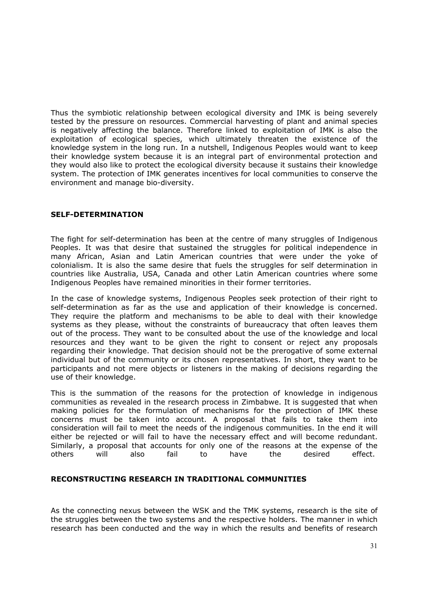Thus the symbiotic relationship between ecological diversity and IMK is being severely tested by the pressure on resources. Commercial harvesting of plant and animal species is negatively affecting the balance. Therefore linked to exploitation of IMK is also the exploitation of ecological species, which ultimately threaten the existence of the knowledge system in the long run. In a nutshell, Indigenous Peoples would want to keep their knowledge system because it is an integral part of environmental protection and they would also like to protect the ecological diversity because it sustains their knowledge system. The protection of IMK generates incentives for local communities to conserve the environment and manage bio-diversity.

### **SELF-DETERMINATION**

The fight for self-determination has been at the centre of many struggles of Indigenous Peoples. It was that desire that sustained the struggles for political independence in many African, Asian and Latin American countries that were under the yoke of colonialism. It is also the same desire that fuels the struggles for self determination in countries like Australia, USA, Canada and other Latin American countries where some Indigenous Peoples have remained minorities in their former territories.

In the case of knowledge systems, Indigenous Peoples seek protection of their right to self-determination as far as the use and application of their knowledge is concerned. They require the platform and mechanisms to be able to deal with their knowledge systems as they please, without the constraints of bureaucracy that often leaves them out of the process. They want to be consulted about the use of the knowledge and local resources and they want to be given the right to consent or reject any proposals regarding their knowledge. That decision should not be the prerogative of some external individual but of the community or its chosen representatives. In short, they want to be participants and not mere objects or listeners in the making of decisions regarding the use of their knowledge.

This is the summation of the reasons for the protection of knowledge in indigenous communities as revealed in the research process in Zimbabwe. It is suggested that when making policies for the formulation of mechanisms for the protection of IMK these concerns must be taken into account. A proposal that fails to take them into consideration will fail to meet the needs of the indigenous communities. In the end it will either be rejected or will fail to have the necessary effect and will become redundant. Similarly, a proposal that accounts for only one of the reasons at the expense of the others will also fail to have the desired effect.

### **RECONSTRUCTING RESEARCH IN TRADITIONAL COMMUNITIES**

As the connecting nexus between the WSK and the TMK systems, research is the site of the struggles between the two systems and the respective holders. The manner in which research has been conducted and the way in which the results and benefits of research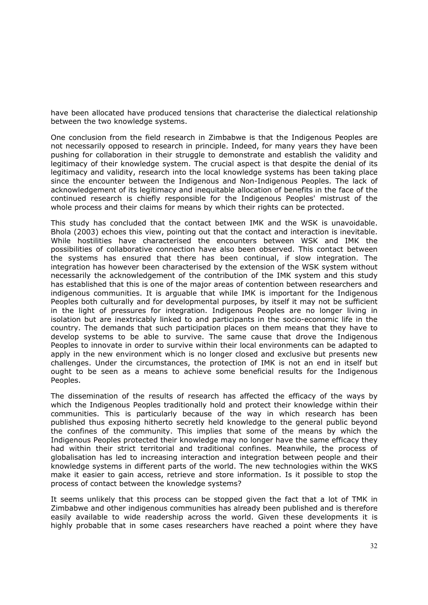have been allocated have produced tensions that characterise the dialectical relationship between the two knowledge systems.

One conclusion from the field research in Zimbabwe is that the Indigenous Peoples are not necessarily opposed to research in principle. Indeed, for many years they have been pushing for collaboration in their struggle to demonstrate and establish the validity and legitimacy of their knowledge system. The crucial aspect is that despite the denial of its legitimacy and validity, research into the local knowledge systems has been taking place since the encounter between the Indigenous and Non-Indigenous Peoples. The lack of acknowledgement of its legitimacy and inequitable allocation of benefits in the face of the continued research is chiefly responsible for the Indigenous Peoples' mistrust of the whole process and their claims for means by which their rights can be protected.

This study has concluded that the contact between IMK and the WSK is unavoidable. Bhola (2003) echoes this view, pointing out that the contact and interaction is inevitable. While hostilities have characterised the encounters between WSK and IMK the possibilities of collaborative connection have also been observed. This contact between the systems has ensured that there has been continual, if slow integration. The integration has however been characterised by the extension of the WSK system without necessarily the acknowledgement of the contribution of the IMK system and this study has established that this is one of the major areas of contention between researchers and indigenous communities. It is arguable that while IMK is important for the Indigenous Peoples both culturally and for developmental purposes, by itself it may not be sufficient in the light of pressures for integration. Indigenous Peoples are no longer living in isolation but are inextricably linked to and participants in the socio-economic life in the country. The demands that such participation places on them means that they have to develop systems to be able to survive. The same cause that drove the Indigenous Peoples to innovate in order to survive within their local environments can be adapted to apply in the new environment which is no longer closed and exclusive but presents new challenges. Under the circumstances, the protection of IMK is not an end in itself but ought to be seen as a means to achieve some beneficial results for the Indigenous Peoples.

The dissemination of the results of research has affected the efficacy of the ways by which the Indigenous Peoples traditionally hold and protect their knowledge within their communities. This is particularly because of the way in which research has been published thus exposing hitherto secretly held knowledge to the general public beyond the confines of the community. This implies that some of the means by which the Indigenous Peoples protected their knowledge may no longer have the same efficacy they had within their strict territorial and traditional confines. Meanwhile, the process of globalisation has led to increasing interaction and integration between people and their knowledge systems in different parts of the world. The new technologies within the WKS make it easier to gain access, retrieve and store information. Is it possible to stop the process of contact between the knowledge systems?

It seems unlikely that this process can be stopped given the fact that a lot of TMK in Zimbabwe and other indigenous communities has already been published and is therefore easily available to wide readership across the world. Given these developments it is highly probable that in some cases researchers have reached a point where they have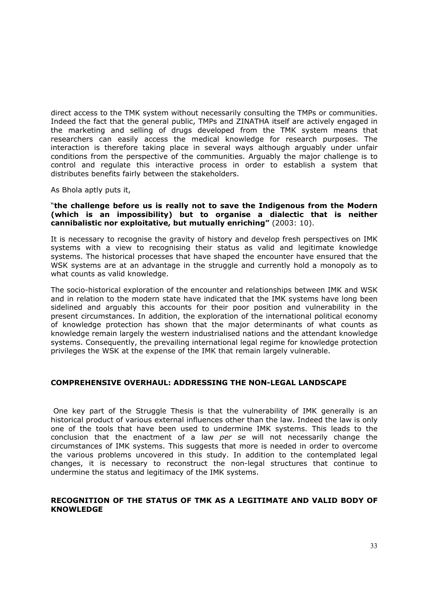direct access to the TMK system without necessarily consulting the TMPs or communities. Indeed the fact that the general public, TMPs and ZINATHA itself are actively engaged in the marketing and selling of drugs developed from the TMK system means that researchers can easily access the medical knowledge for research purposes. The interaction is therefore taking place in several ways although arguably under unfair conditions from the perspective of the communities. Arguably the major challenge is to control and regulate this interactive process in order to establish a system that distributes benefits fairly between the stakeholders.

As Bhola aptly puts it,

#### "**the challenge before us is really not to save the Indigenous from the Modern (which is an impossibility) but to organise a dialectic that is neither cannibalistic nor exploitative, but mutually enriching"** (2003: 10).

It is necessary to recognise the gravity of history and develop fresh perspectives on IMK systems with a view to recognising their status as valid and legitimate knowledge systems. The historical processes that have shaped the encounter have ensured that the WSK systems are at an advantage in the struggle and currently hold a monopoly as to what counts as valid knowledge.

The socio-historical exploration of the encounter and relationships between IMK and WSK and in relation to the modern state have indicated that the IMK systems have long been sidelined and arguably this accounts for their poor position and vulnerability in the present circumstances. In addition, the exploration of the international political economy of knowledge protection has shown that the major determinants of what counts as knowledge remain largely the western industrialised nations and the attendant knowledge systems. Consequently, the prevailing international legal regime for knowledge protection privileges the WSK at the expense of the IMK that remain largely vulnerable.

### **COMPREHENSIVE OVERHAUL: ADDRESSING THE NON-LEGAL LANDSCAPE**

One key part of the Struggle Thesis is that the vulnerability of IMK generally is an historical product of various external influences other than the law. Indeed the law is only one of the tools that have been used to undermine IMK systems. This leads to the conclusion that the enactment of a law *per se* will not necessarily change the circumstances of IMK systems. This suggests that more is needed in order to overcome the various problems uncovered in this study. In addition to the contemplated legal changes, it is necessary to reconstruct the non-legal structures that continue to undermine the status and legitimacy of the IMK systems.

## **RECOGNITION OF THE STATUS OF TMK AS A LEGITIMATE AND VALID BODY OF KNOWLEDGE**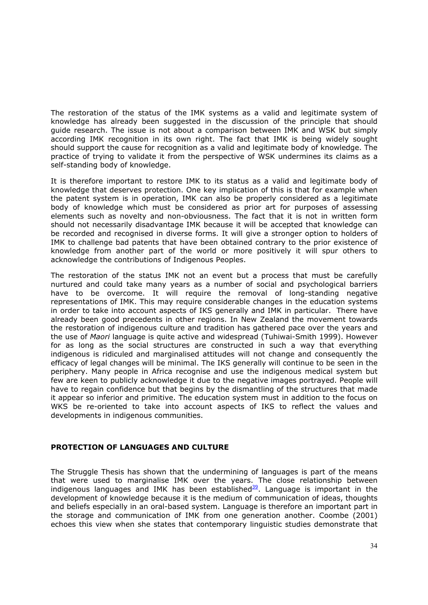The restoration of the status of the IMK systems as a valid and legitimate system of knowledge has already been suggested in the discussion of the principle that should guide research. The issue is not about a comparison between IMK and WSK but simply according IMK recognition in its own right. The fact that IMK is being widely sought should support the cause for recognition as a valid and legitimate body of knowledge. The practice of trying to validate it from the perspective of WSK undermines its claims as a self-standing body of knowledge.

It is therefore important to restore IMK to its status as a valid and legitimate body of knowledge that deserves protection. One key implication of this is that for example when the patent system is in operation, IMK can also be properly considered as a legitimate body of knowledge which must be considered as prior art for purposes of assessing elements such as novelty and non-obviousness. The fact that it is not in written form should not necessarily disadvantage IMK because it will be accepted that knowledge can be recorded and recognised in diverse forms. It will give a stronger option to holders of IMK to challenge bad patents that have been obtained contrary to the prior existence of knowledge from another part of the world or more positively it will spur others to acknowledge the contributions of Indigenous Peoples.

The restoration of the status IMK not an event but a process that must be carefully nurtured and could take many years as a number of social and psychological barriers have to be overcome. It will require the removal of long-standing negative representations of IMK. This may require considerable changes in the education systems in order to take into account aspects of IKS generally and IMK in particular. There have already been good precedents in other regions. In New Zealand the movement towards the restoration of indigenous culture and tradition has gathered pace over the years and the use of *Maori* language is quite active and widespread (Tuhiwai-Smith 1999). However for as long as the social structures are constructed in such a way that everything indigenous is ridiculed and marginalised attitudes will not change and consequently the efficacy of legal changes will be minimal. The IKS generally will continue to be seen in the periphery. Many people in Africa recognise and use the indigenous medical system but few are keen to publicly acknowledge it due to the negative images portrayed. People will have to regain confidence but that begins by the dismantling of the structures that made it appear so inferior and primitive. The education system must in addition to the focus on WKS be re-oriented to take into account aspects of IKS to reflect the values and developments in indigenous communities.

### **PROTECTION OF LANGUAGES AND CULTURE**

The Struggle Thesis has shown that the undermining of languages is part of the means that were used to marginalise IMK over the years. The close relationship between indigenous languages and IMK has been established<sup>39</sup>. Language is important in the development of knowledge because it is the medium of communication of ideas, thoughts and beliefs especially in an oral-based system. Language is therefore an important part in the storage and communication of IMK from one generation another. Coombe (2001) echoes this view when she states that contemporary linguistic studies demonstrate that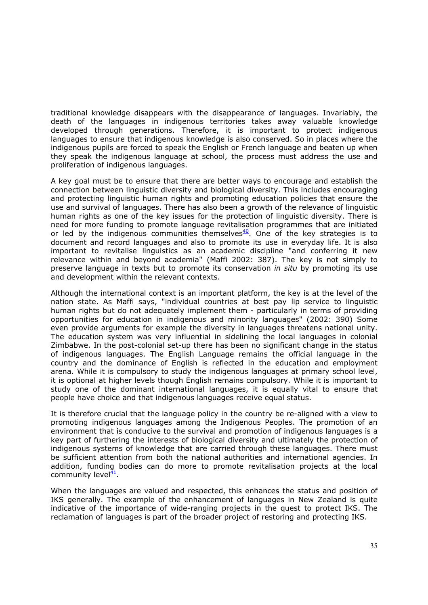traditional knowledge disappears with the disappearance of languages. Invariably, the death of the languages in indigenous territories takes away valuable knowledge developed through generations. Therefore, it is important to protect indigenous languages to ensure that indigenous knowledge is also conserved. So in places where the indigenous pupils are forced to speak the English or French language and beaten up when they speak the indigenous language at school, the process must address the use and proliferation of indigenous languages.

A key goal must be to ensure that there are better ways to encourage and establish the connection between linguistic diversity and biological diversity. This includes encouraging and protecting linguistic human rights and promoting education policies that ensure the use and survival of languages. There has also been a growth of the relevance of linguistic human rights as one of the key issues for the protection of linguistic diversity. There is need for more funding to promote language revitalisation programmes that are initiated or led by the indigenous communities themselves $40$ . One of the key strategies is to document and record languages and also to promote its use in everyday life. It is also important to revitalise linguistics as an academic discipline "and conferring it new relevance within and beyond academia" (Maffi 2002: 387). The key is not simply to preserve language in texts but to promote its conservation *in situ* by promoting its use and development within the relevant contexts.

Although the international context is an important platform, the key is at the level of the nation state. As Maffi says, "individual countries at best pay lip service to linguistic human rights but do not adequately implement them - particularly in terms of providing opportunities for education in indigenous and minority languages" (2002: 390) Some even provide arguments for example the diversity in languages threatens national unity. The education system was very influential in sidelining the local languages in colonial Zimbabwe. In the post-colonial set-up there has been no significant change in the status of indigenous languages. The English Language remains the official language in the country and the dominance of English is reflected in the education and employment arena. While it is compulsory to study the indigenous languages at primary school level, it is optional at higher levels though English remains compulsory. While it is important to study one of the dominant international languages, it is equally vital to ensure that people have choice and that indigenous languages receive equal status.

It is therefore crucial that the language policy in the country be re-aligned with a view to promoting indigenous languages among the Indigenous Peoples. The promotion of an environment that is conducive to the survival and promotion of indigenous languages is a key part of furthering the interests of biological diversity and ultimately the protection of indigenous systems of knowledge that are carried through these languages. There must be sufficient attention from both the national authorities and international agencies. In addition, funding bodies can do more to promote revitalisation projects at the local community level $\frac{41}{1}$ .

When the languages are valued and respected, this enhances the status and position of IKS generally. The example of the enhancement of languages in New Zealand is quite indicative of the importance of wide-ranging projects in the quest to protect IKS. The reclamation of languages is part of the broader project of restoring and protecting IKS.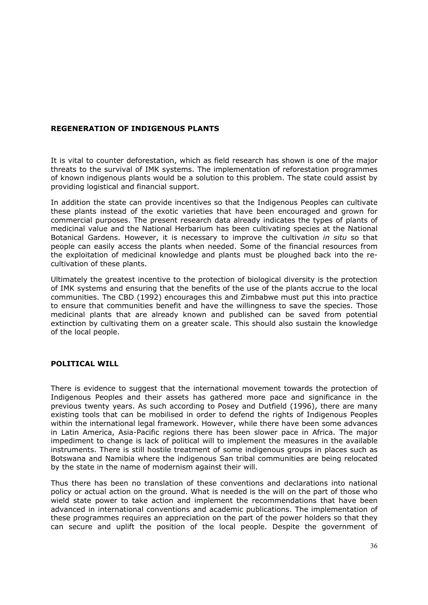# **REGENERATION OF INDIGENOUS PLANTS**

It is vital to counter deforestation, which as field research has shown is one of the major threats to the survival of IMK systems. The implementation of reforestation programmes of known indigenous plants would be a solution to this problem. The state could assist by providing logistical and financial support.

In addition the state can provide incentives so that the Indigenous Peoples can cultivate these plants instead of the exotic varieties that have been encouraged and grown for commercial purposes. The present research data already indicates the types of plants of medicinal value and the National Herbarium has been cultivating species at the National Botanical Gardens. However, it is necessary to improve the cultivation *in situ* so that people can easily access the plants when needed. Some of the financial resources from the exploitation of medicinal knowledge and plants must be ploughed back into the recultivation of these plants.

Ultimately the greatest incentive to the protection of biological diversity is the protection of IMK systems and ensuring that the benefits of the use of the plants accrue to the local communities. The CBD (1992) encourages this and Zimbabwe must put this into practice to ensure that communities benefit and have the willingness to save the species. Those medicinal plants that are already known and published can be saved from potential extinction by cultivating them on a greater scale. This should also sustain the knowledge of the local people.

### **POLITICAL WILL**

There is evidence to suggest that the international movement towards the protection of Indigenous Peoples and their assets has gathered more pace and significance in the previous twenty years. As such according to Posey and Dutfield (1996), there are many existing tools that can be mobilised in order to defend the rights of Indigenous Peoples within the international legal framework. However, while there have been some advances in Latin America, Asia-Pacific regions there has been slower pace in Africa. The major impediment to change is lack of political will to implement the measures in the available instruments. There is still hostile treatment of some indigenous groups in places such as Botswana and Namibia where the indigenous San tribal communities are being relocated by the state in the name of modernism against their will.

Thus there has been no translation of these conventions and declarations into national policy or actual action on the ground. What is needed is the will on the part of those who wield state power to take action and implement the recommendations that have been advanced in international conventions and academic publications. The implementation of these programmes requires an appreciation on the part of the power holders so that they can secure and uplift the position of the local people. Despite the government of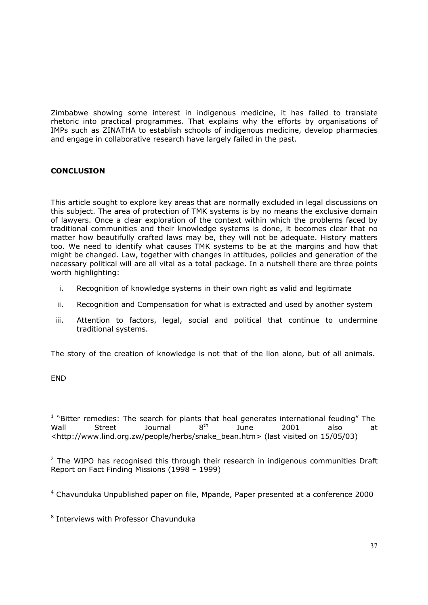Zimbabwe showing some interest in indigenous medicine, it has failed to translate rhetoric into practical programmes. That explains why the efforts by organisations of IMPs such as ZINATHA to establish schools of indigenous medicine, develop pharmacies and engage in collaborative research have largely failed in the past.

# **CONCLUSION**

This article sought to explore key areas that are normally excluded in legal discussions on this subject. The area of protection of TMK systems is by no means the exclusive domain of lawyers. Once a clear exploration of the context within which the problems faced by traditional communities and their knowledge systems is done, it becomes clear that no matter how beautifully crafted laws may be, they will not be adequate. History matters too. We need to identify what causes TMK systems to be at the margins and how that might be changed. Law, together with changes in attitudes, policies and generation of the necessary political will are all vital as a total package. In a nutshell there are three points worth highlighting:

- i. Recognition of knowledge systems in their own right as valid and legitimate
- ii. Recognition and Compensation for what is extracted and used by another system
- iii. Attention to factors, legal, social and political that continue to undermine traditional systems.

The story of the creation of knowledge is not that of the lion alone, but of all animals.

END

 $1$  "Bitter remedies: The search for plants that heal generates international feuding" The Wall Street Journal  $8^{th}$  June 2001 also at <http://www.lind.org.zw/people/herbs/snake\_bean.htm> (last visited on 15/05/03)

 $2$  The WIPO has recognised this through their research in indigenous communities Draft Report on Fact Finding Missions (1998 – 1999)

<sup>4</sup> Chavunduka Unpublished paper on file, Mpande, Paper presented at a conference 2000

<sup>8</sup> Interviews with Professor Chavunduka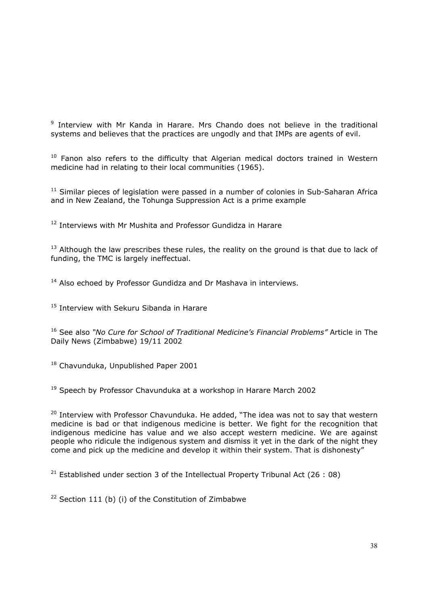<sup>9</sup> Interview with Mr Kanda in Harare. Mrs Chando does not believe in the traditional systems and believes that the practices are ungodly and that IMPs are agents of evil.

 $10$  Fanon also refers to the difficulty that Algerian medical doctors trained in Western medicine had in relating to their local communities (1965).

 $11$  Similar pieces of legislation were passed in a number of colonies in Sub-Saharan Africa and in New Zealand, the Tohunga Suppression Act is a prime example

<sup>12</sup> Interviews with Mr Mushita and Professor Gundidza in Harare

 $13$  Although the law prescribes these rules, the reality on the ground is that due to lack of funding, the TMC is largely ineffectual.

<sup>14</sup> Also echoed by Professor Gundidza and Dr Mashava in interviews.

<sup>15</sup> Interview with Sekuru Sibanda in Harare

16 See also *"No Cure for School of Traditional Medicine's Financial Problems"* Article in The Daily News (Zimbabwe) 19/11 2002

18 Chavunduka, Unpublished Paper 2001

19 Speech by Professor Chavunduka at a workshop in Harare March 2002

<sup>20</sup> Interview with Professor Chavunduka. He added, "The idea was not to say that western medicine is bad or that indigenous medicine is better. We fight for the recognition that indigenous medicine has value and we also accept western medicine. We are against people who ridicule the indigenous system and dismiss it yet in the dark of the night they come and pick up the medicine and develop it within their system. That is dishonesty"

<sup>21</sup> Established under section 3 of the Intellectual Property Tribunal Act (26 : 08)

<sup>22</sup> Section 111 (b) (i) of the Constitution of Zimbabwe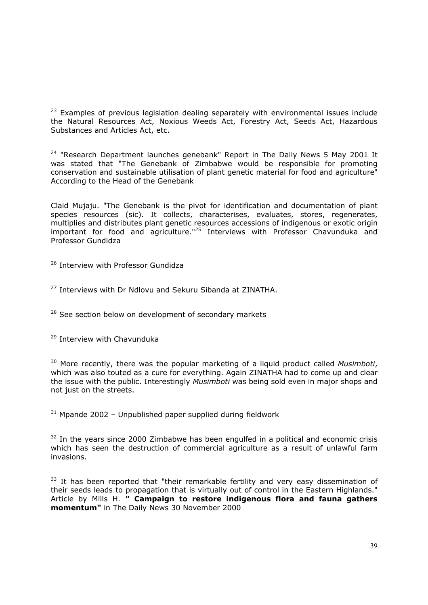<sup>23</sup> Examples of previous legislation dealing separately with environmental issues include the Natural Resources Act, Noxious Weeds Act, Forestry Act, Seeds Act, Hazardous Substances and Articles Act, etc.

 $24$  "Research Department launches genebank" Report in The Daily News 5 May 2001 It was stated that "The Genebank of Zimbabwe would be responsible for promoting conservation and sustainable utilisation of plant genetic material for food and agriculture" According to the Head of the Genebank

Claid Mujaju. "The Genebank is the pivot for identification and documentation of plant species resources (sic). It collects, characterises, evaluates, stores, regenerates, multiplies and distributes plant genetic resources accessions of indigenous or exotic origin  $\frac{1}{2}$  important for food and agriculture."<sup>25</sup> Interviews with Professor Chavunduka and Professor Gundidza

<sup>26</sup> Interview with Professor Gundidza

<sup>27</sup> Interviews with Dr Ndlovu and Sekuru Sibanda at ZINATHA.

<sup>28</sup> See section below on development of secondary markets

<sup>29</sup> Interview with Chavunduka

30 More recently, there was the popular marketing of a liquid product called *Musimboti*, which was also touted as a cure for everything. Again ZINATHA had to come up and clear the issue with the public. Interestingly *Musimboti* was being sold even in major shops and not just on the streets.

 $31$  Mpande 2002 – Unpublished paper supplied during fieldwork

 $32$  In the years since 2000 Zimbabwe has been engulfed in a political and economic crisis which has seen the destruction of commercial agriculture as a result of unlawful farm invasions.

<sup>33</sup> It has been reported that "their remarkable fertility and very easy dissemination of their seeds leads to propagation that is virtually out of control in the Eastern Highlands." Article by Mills H. **" Campaign to restore indigenous flora and fauna gathers momentum"** in The Daily News 30 November 2000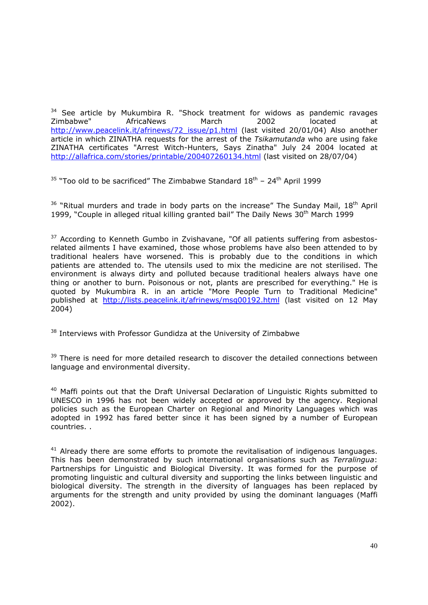<sup>34</sup> See article by Mukumbira R. "Shock treatment for widows as pandemic ravages Zimbabwe" AfricaNews March 2002 located at [http://www.peacelink.it/afrinews/72\\_issue/p1.html](http://www.peacelink.it/afrinews/72_issue/p1.html) (last visited 20/01/04) Also another article in which ZINATHA requests for the arrest of the *Tsikamutanda* who are using fake ZINATHA certificates "Arrest Witch-Hunters, Says Zinatha" July 24 2004 located at <http://allafrica.com/stories/printable/200407260134.html>(last visited on 28/07/04)

 $35$  "Too old to be sacrificed" The Zimbabwe Standard  $18<sup>th</sup>$  – 24<sup>th</sup> April 1999

 $36$  "Ritual murders and trade in body parts on the increase" The Sunday Mail,  $18<sup>th</sup>$  April 1999, "Couple in alleged ritual killing granted bail" The Daily News 30<sup>th</sup> March 1999

 $37$  According to Kenneth Gumbo in Zvishavane, "Of all patients suffering from asbestosrelated ailments I have examined, those whose problems have also been attended to by traditional healers have worsened. This is probably due to the conditions in which patients are attended to. The utensils used to mix the medicine are not sterilised. The environment is always dirty and polluted because traditional healers always have one thing or another to burn. Poisonous or not, plants are prescribed for everything." He is quoted by Mukumbira R. in an article "More People Turn to Traditional Medicine" published at <http://lists.peacelink.it/afrinews/msg00192.html>(last visited on 12 May 2004)

<sup>38</sup> Interviews with Professor Gundidza at the University of Zimbabwe

<sup>39</sup> There is need for more detailed research to discover the detailed connections between language and environmental diversity.

<sup>40</sup> Maffi points out that the Draft Universal Declaration of Linguistic Rights submitted to UNESCO in 1996 has not been widely accepted or approved by the agency. Regional policies such as the European Charter on Regional and Minority Languages which was adopted in 1992 has fared better since it has been signed by a number of European countries. .

 $41$  Already there are some efforts to promote the revitalisation of indigenous languages. This has been demonstrated by such international organisations such as *Terralingua*: Partnerships for Linguistic and Biological Diversity. It was formed for the purpose of promoting linguistic and cultural diversity and supporting the links between linguistic and biological diversity. The strength in the diversity of languages has been replaced by arguments for the strength and unity provided by using the dominant languages (Maffi 2002).